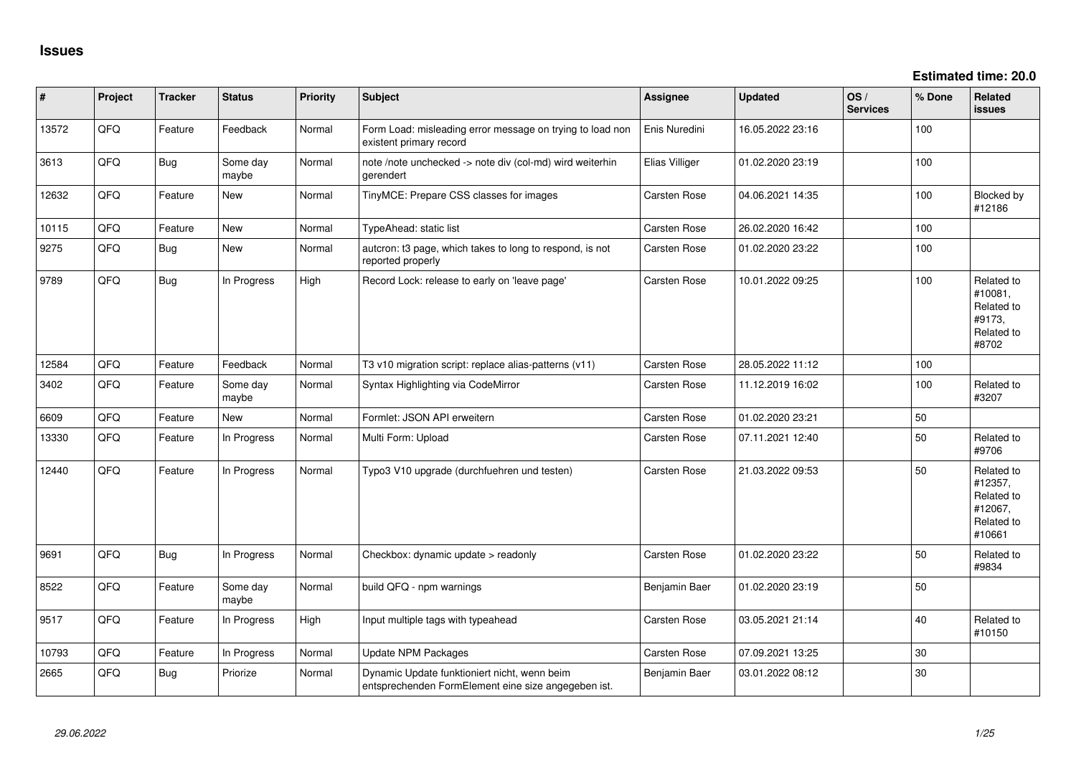| #     | Project | <b>Tracker</b> | <b>Status</b>     | <b>Priority</b> | <b>Subject</b>                                                                                      | <b>Assignee</b>     | <b>Updated</b>   | OS/<br><b>Services</b> | % Done | <b>Related</b><br><b>issues</b>                                        |
|-------|---------|----------------|-------------------|-----------------|-----------------------------------------------------------------------------------------------------|---------------------|------------------|------------------------|--------|------------------------------------------------------------------------|
| 13572 | QFQ     | Feature        | Feedback          | Normal          | Form Load: misleading error message on trying to load non<br>existent primary record                | Enis Nuredini       | 16.05.2022 23:16 |                        | 100    |                                                                        |
| 3613  | QFQ     | Bug            | Some day<br>maybe | Normal          | note /note unchecked -> note div (col-md) wird weiterhin<br>gerendert                               | Elias Villiger      | 01.02.2020 23:19 |                        | 100    |                                                                        |
| 12632 | QFQ     | Feature        | New               | Normal          | TinyMCE: Prepare CSS classes for images                                                             | Carsten Rose        | 04.06.2021 14:35 |                        | 100    | Blocked by<br>#12186                                                   |
| 10115 | QFQ     | Feature        | <b>New</b>        | Normal          | <b>TypeAhead: static list</b>                                                                       | <b>Carsten Rose</b> | 26.02.2020 16:42 |                        | 100    |                                                                        |
| 9275  | QFQ     | Bug            | New               | Normal          | autcron: t3 page, which takes to long to respond, is not<br>reported properly                       | Carsten Rose        | 01.02.2020 23:22 |                        | 100    |                                                                        |
| 9789  | QFQ     | <b>Bug</b>     | In Progress       | High            | Record Lock: release to early on 'leave page'                                                       | <b>Carsten Rose</b> | 10.01.2022 09:25 |                        | 100    | Related to<br>#10081,<br>Related to<br>#9173,<br>Related to<br>#8702   |
| 12584 | QFQ     | Feature        | Feedback          | Normal          | T3 v10 migration script: replace alias-patterns (v11)                                               | Carsten Rose        | 28.05.2022 11:12 |                        | 100    |                                                                        |
| 3402  | QFQ     | Feature        | Some day<br>maybe | Normal          | Syntax Highlighting via CodeMirror                                                                  | Carsten Rose        | 11.12.2019 16:02 |                        | 100    | Related to<br>#3207                                                    |
| 6609  | QFQ     | Feature        | <b>New</b>        | Normal          | Formlet: JSON API erweitern                                                                         | Carsten Rose        | 01.02.2020 23:21 |                        | 50     |                                                                        |
| 13330 | QFQ     | Feature        | In Progress       | Normal          | Multi Form: Upload                                                                                  | Carsten Rose        | 07.11.2021 12:40 |                        | 50     | Related to<br>#9706                                                    |
| 12440 | QFQ     | Feature        | In Progress       | Normal          | Typo3 V10 upgrade (durchfuehren und testen)                                                         | Carsten Rose        | 21.03.2022 09:53 |                        | 50     | Related to<br>#12357,<br>Related to<br>#12067,<br>Related to<br>#10661 |
| 9691  | QFQ     | <b>Bug</b>     | In Progress       | Normal          | Checkbox: dynamic update > readonly                                                                 | Carsten Rose        | 01.02.2020 23:22 |                        | 50     | Related to<br>#9834                                                    |
| 8522  | QFQ     | Feature        | Some day<br>maybe | Normal          | build QFQ - npm warnings                                                                            | Benjamin Baer       | 01.02.2020 23:19 |                        | 50     |                                                                        |
| 9517  | QFQ     | Feature        | In Progress       | High            | Input multiple tags with typeahead                                                                  | Carsten Rose        | 03.05.2021 21:14 |                        | 40     | Related to<br>#10150                                                   |
| 10793 | QFQ     | Feature        | In Progress       | Normal          | <b>Update NPM Packages</b>                                                                          | Carsten Rose        | 07.09.2021 13:25 |                        | 30     |                                                                        |
| 2665  | QFQ     | <b>Bug</b>     | Priorize          | Normal          | Dynamic Update funktioniert nicht, wenn beim<br>entsprechenden FormElement eine size angegeben ist. | Benjamin Baer       | 03.01.2022 08:12 |                        | 30     |                                                                        |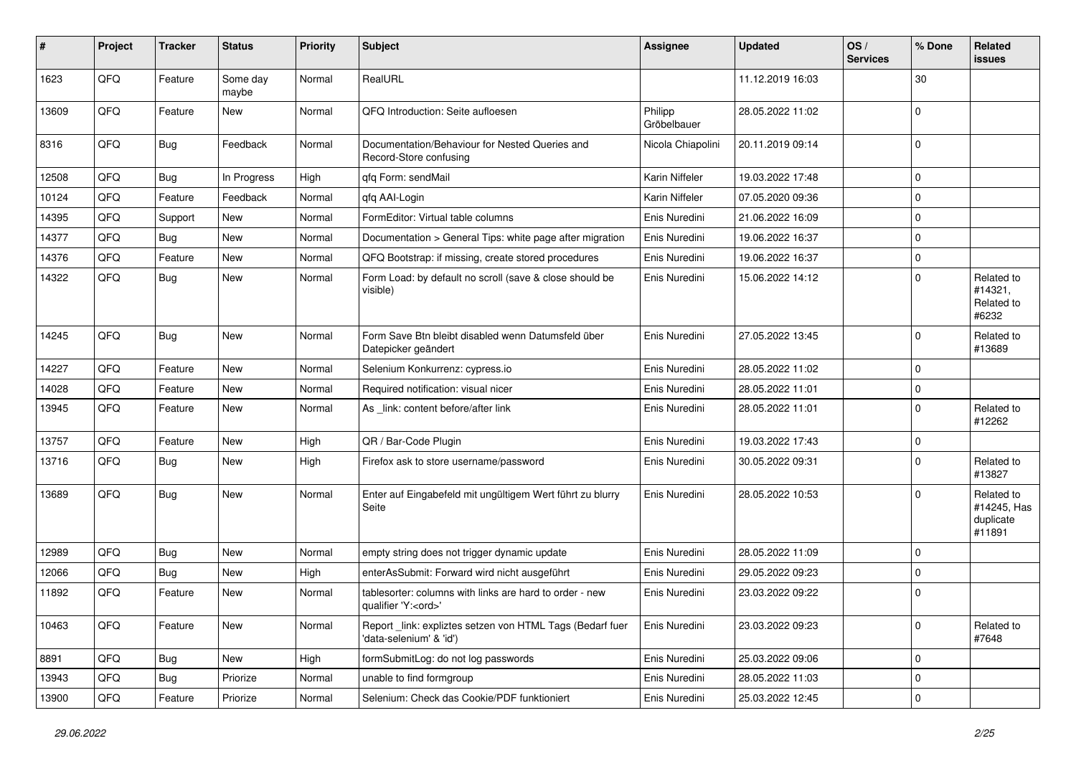| #     | Project | <b>Tracker</b> | <b>Status</b>     | <b>Priority</b> | <b>Subject</b>                                                                        | Assignee               | <b>Updated</b>   | OS/<br><b>Services</b> | % Done      | Related<br>issues                                |
|-------|---------|----------------|-------------------|-----------------|---------------------------------------------------------------------------------------|------------------------|------------------|------------------------|-------------|--------------------------------------------------|
| 1623  | QFQ     | Feature        | Some day<br>maybe | Normal          | RealURL                                                                               |                        | 11.12.2019 16:03 |                        | $30\,$      |                                                  |
| 13609 | QFQ     | Feature        | New               | Normal          | QFQ Introduction: Seite aufloesen                                                     | Philipp<br>Gröbelbauer | 28.05.2022 11:02 |                        | $\mathbf 0$ |                                                  |
| 8316  | QFQ     | Bug            | Feedback          | Normal          | Documentation/Behaviour for Nested Queries and<br>Record-Store confusing              | Nicola Chiapolini      | 20.11.2019 09:14 |                        | $\mathbf 0$ |                                                  |
| 12508 | QFQ     | Bug            | In Progress       | High            | qfq Form: sendMail                                                                    | Karin Niffeler         | 19.03.2022 17:48 |                        | $\mathbf 0$ |                                                  |
| 10124 | QFQ     | Feature        | Feedback          | Normal          | gfg AAI-Login                                                                         | Karin Niffeler         | 07.05.2020 09:36 |                        | $\mathbf 0$ |                                                  |
| 14395 | QFQ     | Support        | New               | Normal          | FormEditor: Virtual table columns                                                     | Enis Nuredini          | 21.06.2022 16:09 |                        | $\mathbf 0$ |                                                  |
| 14377 | QFQ     | <b>Bug</b>     | New               | Normal          | Documentation > General Tips: white page after migration                              | Enis Nuredini          | 19.06.2022 16:37 |                        | $\mathbf 0$ |                                                  |
| 14376 | QFQ     | Feature        | New               | Normal          | QFQ Bootstrap: if missing, create stored procedures                                   | Enis Nuredini          | 19.06.2022 16:37 |                        | $\mathbf 0$ |                                                  |
| 14322 | QFQ     | Bug            | New               | Normal          | Form Load: by default no scroll (save & close should be<br>visible)                   | Enis Nuredini          | 15.06.2022 14:12 |                        | $\Omega$    | Related to<br>#14321,<br>Related to<br>#6232     |
| 14245 | QFQ     | <b>Bug</b>     | New               | Normal          | Form Save Btn bleibt disabled wenn Datumsfeld über<br>Datepicker geändert             | Enis Nuredini          | 27.05.2022 13:45 |                        | $\mathbf 0$ | Related to<br>#13689                             |
| 14227 | QFQ     | Feature        | New               | Normal          | Selenium Konkurrenz: cypress.io                                                       | Enis Nuredini          | 28.05.2022 11:02 |                        | $\mathbf 0$ |                                                  |
| 14028 | QFQ     | Feature        | New               | Normal          | Required notification: visual nicer                                                   | Enis Nuredini          | 28.05.2022 11:01 |                        | $\mathbf 0$ |                                                  |
| 13945 | QFQ     | Feature        | New               | Normal          | As _link: content before/after link                                                   | Enis Nuredini          | 28.05.2022 11:01 |                        | $\mathbf 0$ | Related to<br>#12262                             |
| 13757 | QFQ     | Feature        | New               | High            | QR / Bar-Code Plugin                                                                  | Enis Nuredini          | 19.03.2022 17:43 |                        | $\mathbf 0$ |                                                  |
| 13716 | QFQ     | Bug            | New               | High            | Firefox ask to store username/password                                                | Enis Nuredini          | 30.05.2022 09:31 |                        | $\Omega$    | Related to<br>#13827                             |
| 13689 | QFQ     | Bug            | New               | Normal          | Enter auf Eingabefeld mit ungültigem Wert führt zu blurry<br>Seite                    | Enis Nuredini          | 28.05.2022 10:53 |                        | $\Omega$    | Related to<br>#14245, Has<br>duplicate<br>#11891 |
| 12989 | QFQ     | Bug            | New               | Normal          | empty string does not trigger dynamic update                                          | Enis Nuredini          | 28.05.2022 11:09 |                        | $\mathbf 0$ |                                                  |
| 12066 | QFQ     | <b>Bug</b>     | New               | High            | enterAsSubmit: Forward wird nicht ausgeführt                                          | Enis Nuredini          | 29.05.2022 09:23 |                        | $\mathbf 0$ |                                                  |
| 11892 | QFQ     | Feature        | New               | Normal          | tablesorter: columns with links are hard to order - new<br>qualifier 'Y: <ord>'</ord> | Enis Nuredini          | 23.03.2022 09:22 |                        | $\mathbf 0$ |                                                  |
| 10463 | QFQ     | Feature        | New               | Normal          | Report _link: expliztes setzen von HTML Tags (Bedarf fuer<br>'data-selenium' & 'id')  | Enis Nuredini          | 23.03.2022 09:23 |                        | $\mathbf 0$ | Related to<br>#7648                              |
| 8891  | QFQ     | Bug            | New               | High            | formSubmitLog: do not log passwords                                                   | Enis Nuredini          | 25.03.2022 09:06 |                        | 0           |                                                  |
| 13943 | QFQ     | <b>Bug</b>     | Priorize          | Normal          | unable to find formgroup                                                              | Enis Nuredini          | 28.05.2022 11:03 |                        | $\mathbf 0$ |                                                  |
| 13900 | QFQ     | Feature        | Priorize          | Normal          | Selenium: Check das Cookie/PDF funktioniert                                           | Enis Nuredini          | 25.03.2022 12:45 |                        | $\mathbf 0$ |                                                  |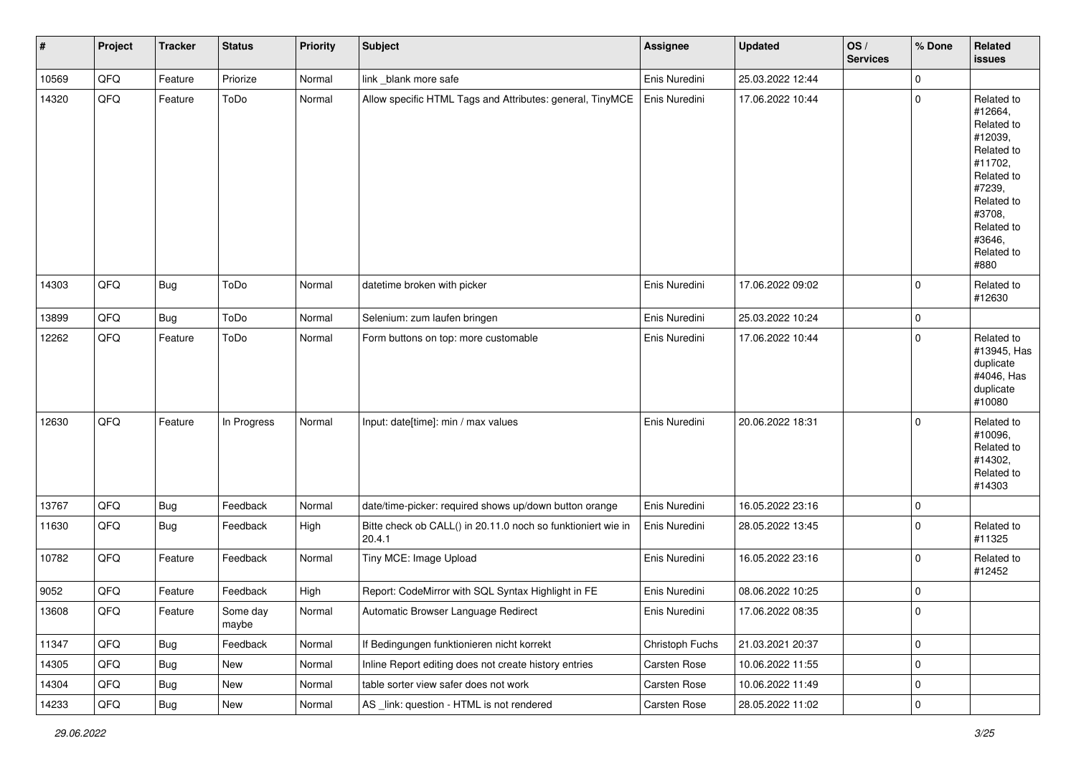| #     | Project | <b>Tracker</b> | <b>Status</b>     | <b>Priority</b> | <b>Subject</b>                                                         | <b>Assignee</b> | Updated          | OS/<br><b>Services</b> | % Done      | Related<br><b>issues</b>                                                                                                                                              |
|-------|---------|----------------|-------------------|-----------------|------------------------------------------------------------------------|-----------------|------------------|------------------------|-------------|-----------------------------------------------------------------------------------------------------------------------------------------------------------------------|
| 10569 | QFQ     | Feature        | Priorize          | Normal          | link _blank more safe                                                  | Enis Nuredini   | 25.03.2022 12:44 |                        | 0           |                                                                                                                                                                       |
| 14320 | QFQ     | Feature        | ToDo              | Normal          | Allow specific HTML Tags and Attributes: general, TinyMCE              | Enis Nuredini   | 17.06.2022 10:44 |                        | $\mathbf 0$ | Related to<br>#12664,<br>Related to<br>#12039,<br>Related to<br>#11702,<br>Related to<br>#7239,<br>Related to<br>#3708,<br>Related to<br>#3646,<br>Related to<br>#880 |
| 14303 | QFQ     | Bug            | ToDo              | Normal          | datetime broken with picker                                            | Enis Nuredini   | 17.06.2022 09:02 |                        | $\mathbf 0$ | Related to<br>#12630                                                                                                                                                  |
| 13899 | QFQ     | <b>Bug</b>     | ToDo              | Normal          | Selenium: zum laufen bringen                                           | Enis Nuredini   | 25.03.2022 10:24 |                        | 0           |                                                                                                                                                                       |
| 12262 | QFQ     | Feature        | ToDo              | Normal          | Form buttons on top: more customable                                   | Enis Nuredini   | 17.06.2022 10:44 |                        | $\mathbf 0$ | Related to<br>#13945, Has<br>duplicate<br>#4046, Has<br>duplicate<br>#10080                                                                                           |
| 12630 | QFQ     | Feature        | In Progress       | Normal          | Input: date[time]: min / max values                                    | Enis Nuredini   | 20.06.2022 18:31 |                        | $\Omega$    | Related to<br>#10096,<br>Related to<br>#14302,<br>Related to<br>#14303                                                                                                |
| 13767 | QFQ     | <b>Bug</b>     | Feedback          | Normal          | date/time-picker: required shows up/down button orange                 | Enis Nuredini   | 16.05.2022 23:16 |                        | $\mathbf 0$ |                                                                                                                                                                       |
| 11630 | QFQ     | <b>Bug</b>     | Feedback          | High            | Bitte check ob CALL() in 20.11.0 noch so funktioniert wie in<br>20.4.1 | Enis Nuredini   | 28.05.2022 13:45 |                        | $\mathbf 0$ | Related to<br>#11325                                                                                                                                                  |
| 10782 | QFQ     | Feature        | Feedback          | Normal          | Tiny MCE: Image Upload                                                 | Enis Nuredini   | 16.05.2022 23:16 |                        | $\mathbf 0$ | Related to<br>#12452                                                                                                                                                  |
| 9052  | QFQ     | Feature        | Feedback          | High            | Report: CodeMirror with SQL Syntax Highlight in FE                     | Enis Nuredini   | 08.06.2022 10:25 |                        | 0           |                                                                                                                                                                       |
| 13608 | QFQ     | Feature        | Some day<br>maybe | Normal          | Automatic Browser Language Redirect                                    | Enis Nuredini   | 17.06.2022 08:35 |                        | 0           |                                                                                                                                                                       |
| 11347 | QFQ     | <b>Bug</b>     | Feedback          | Normal          | If Bedingungen funktionieren nicht korrekt                             | Christoph Fuchs | 21.03.2021 20:37 |                        | 0           |                                                                                                                                                                       |
| 14305 | QFQ     | <b>Bug</b>     | New               | Normal          | Inline Report editing does not create history entries                  | Carsten Rose    | 10.06.2022 11:55 |                        | 0           |                                                                                                                                                                       |
| 14304 | QFQ     | <b>Bug</b>     | New               | Normal          | table sorter view safer does not work                                  | Carsten Rose    | 10.06.2022 11:49 |                        | 0           |                                                                                                                                                                       |
| 14233 | QFQ     | Bug            | New               | Normal          | AS _link: question - HTML is not rendered                              | Carsten Rose    | 28.05.2022 11:02 |                        | $\pmb{0}$   |                                                                                                                                                                       |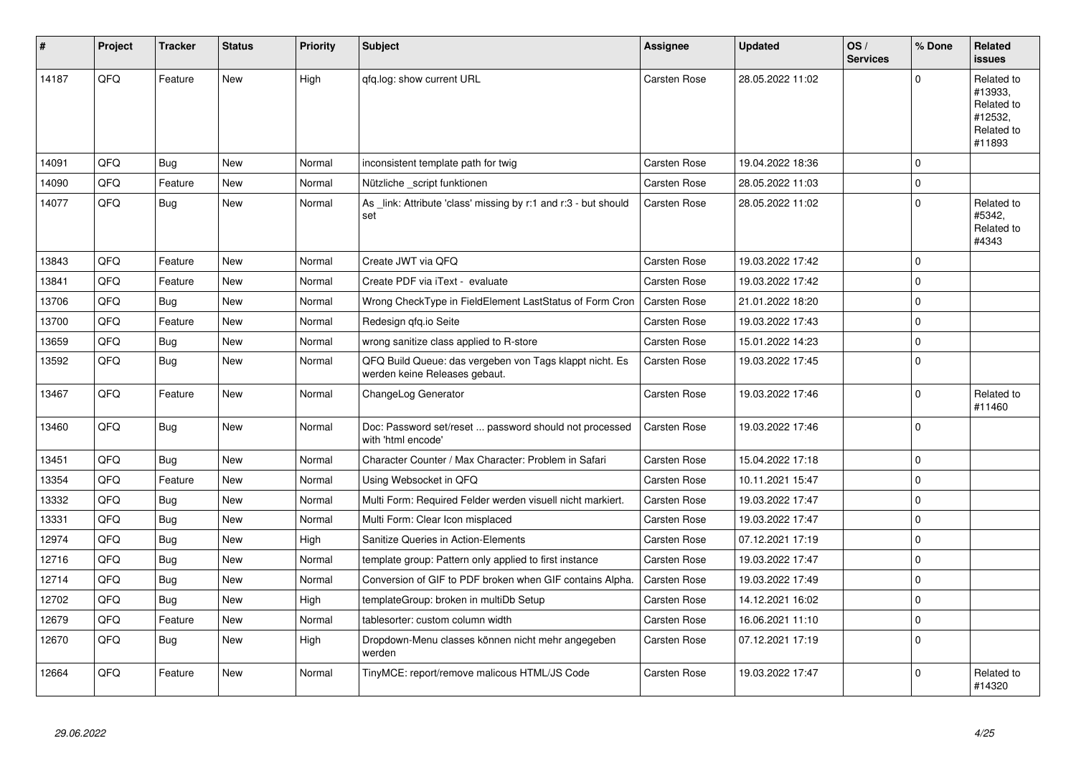| #     | Project | <b>Tracker</b> | <b>Status</b> | <b>Priority</b> | <b>Subject</b>                                                                           | Assignee            | <b>Updated</b>   | OS/<br><b>Services</b> | % Done      | Related<br><b>issues</b>                                               |
|-------|---------|----------------|---------------|-----------------|------------------------------------------------------------------------------------------|---------------------|------------------|------------------------|-------------|------------------------------------------------------------------------|
| 14187 | QFQ     | Feature        | <b>New</b>    | High            | qfq.log: show current URL                                                                | Carsten Rose        | 28.05.2022 11:02 |                        | $\Omega$    | Related to<br>#13933,<br>Related to<br>#12532,<br>Related to<br>#11893 |
| 14091 | QFQ     | Bug            | <b>New</b>    | Normal          | inconsistent template path for twig                                                      | Carsten Rose        | 19.04.2022 18:36 |                        | $\Omega$    |                                                                        |
| 14090 | QFQ     | Feature        | <b>New</b>    | Normal          | Nützliche _script funktionen                                                             | <b>Carsten Rose</b> | 28.05.2022 11:03 |                        | $\Omega$    |                                                                        |
| 14077 | QFQ     | Bug            | New           | Normal          | As link: Attribute 'class' missing by r:1 and r:3 - but should<br>set                    | Carsten Rose        | 28.05.2022 11:02 |                        | $\Omega$    | Related to<br>#5342,<br>Related to<br>#4343                            |
| 13843 | QFQ     | Feature        | <b>New</b>    | Normal          | Create JWT via QFQ                                                                       | Carsten Rose        | 19.03.2022 17:42 |                        | $\Omega$    |                                                                        |
| 13841 | QFQ     | Feature        | New           | Normal          | Create PDF via iText - evaluate                                                          | Carsten Rose        | 19.03.2022 17:42 |                        | $\Omega$    |                                                                        |
| 13706 | QFQ     | <b>Bug</b>     | <b>New</b>    | Normal          | Wrong CheckType in FieldElement LastStatus of Form Cron                                  | <b>Carsten Rose</b> | 21.01.2022 18:20 |                        | $\Omega$    |                                                                        |
| 13700 | QFQ     | Feature        | New           | Normal          | Redesign qfq.io Seite                                                                    | Carsten Rose        | 19.03.2022 17:43 |                        | $\mathbf 0$ |                                                                        |
| 13659 | QFQ     | Bug            | <b>New</b>    | Normal          | wrong sanitize class applied to R-store                                                  | <b>Carsten Rose</b> | 15.01.2022 14:23 |                        | $\Omega$    |                                                                        |
| 13592 | QFQ     | <b>Bug</b>     | New           | Normal          | QFQ Build Queue: das vergeben von Tags klappt nicht. Es<br>werden keine Releases gebaut. | <b>Carsten Rose</b> | 19.03.2022 17:45 |                        | $\Omega$    |                                                                        |
| 13467 | QFQ     | Feature        | <b>New</b>    | Normal          | ChangeLog Generator                                                                      | Carsten Rose        | 19.03.2022 17:46 |                        | $\Omega$    | Related to<br>#11460                                                   |
| 13460 | QFQ     | <b>Bug</b>     | New           | Normal          | Doc: Password set/reset  password should not processed<br>with 'html encode'             | Carsten Rose        | 19.03.2022 17:46 |                        | $\Omega$    |                                                                        |
| 13451 | QFQ     | Bug            | <b>New</b>    | Normal          | Character Counter / Max Character: Problem in Safari                                     | Carsten Rose        | 15.04.2022 17:18 |                        | $\mathbf 0$ |                                                                        |
| 13354 | QFQ     | Feature        | New           | Normal          | Using Websocket in QFQ                                                                   | Carsten Rose        | 10.11.2021 15:47 |                        | $\Omega$    |                                                                        |
| 13332 | QFQ     | <b>Bug</b>     | <b>New</b>    | Normal          | Multi Form: Required Felder werden visuell nicht markiert.                               | <b>Carsten Rose</b> | 19.03.2022 17:47 |                        | $\Omega$    |                                                                        |
| 13331 | QFQ     | <b>Bug</b>     | New           | Normal          | Multi Form: Clear Icon misplaced                                                         | Carsten Rose        | 19.03.2022 17:47 |                        | $\Omega$    |                                                                        |
| 12974 | QFQ     | Bug            | <b>New</b>    | High            | Sanitize Queries in Action-Elements                                                      | Carsten Rose        | 07.12.2021 17:19 |                        | $\Omega$    |                                                                        |
| 12716 | QFQ     | <b>Bug</b>     | New           | Normal          | template group: Pattern only applied to first instance                                   | Carsten Rose        | 19.03.2022 17:47 |                        | $\Omega$    |                                                                        |
| 12714 | QFQ     | <b>Bug</b>     | <b>New</b>    | Normal          | Conversion of GIF to PDF broken when GIF contains Alpha.                                 | <b>Carsten Rose</b> | 19.03.2022 17:49 |                        | $\Omega$    |                                                                        |
| 12702 | QFQ     | <b>Bug</b>     | <b>New</b>    | High            | templateGroup: broken in multiDb Setup                                                   | Carsten Rose        | 14.12.2021 16:02 |                        | $\Omega$    |                                                                        |
| 12679 | QFQ     | Feature        | New           | Normal          | tablesorter: custom column width                                                         | Carsten Rose        | 16.06.2021 11:10 |                        | $\Omega$    |                                                                        |
| 12670 | QFQ     | <b>Bug</b>     | New           | High            | Dropdown-Menu classes können nicht mehr angegeben<br>werden                              | <b>Carsten Rose</b> | 07.12.2021 17:19 |                        | $\Omega$    |                                                                        |
| 12664 | QFQ     | Feature        | New           | Normal          | TinyMCE: report/remove malicous HTML/JS Code                                             | Carsten Rose        | 19.03.2022 17:47 |                        | $\Omega$    | Related to<br>#14320                                                   |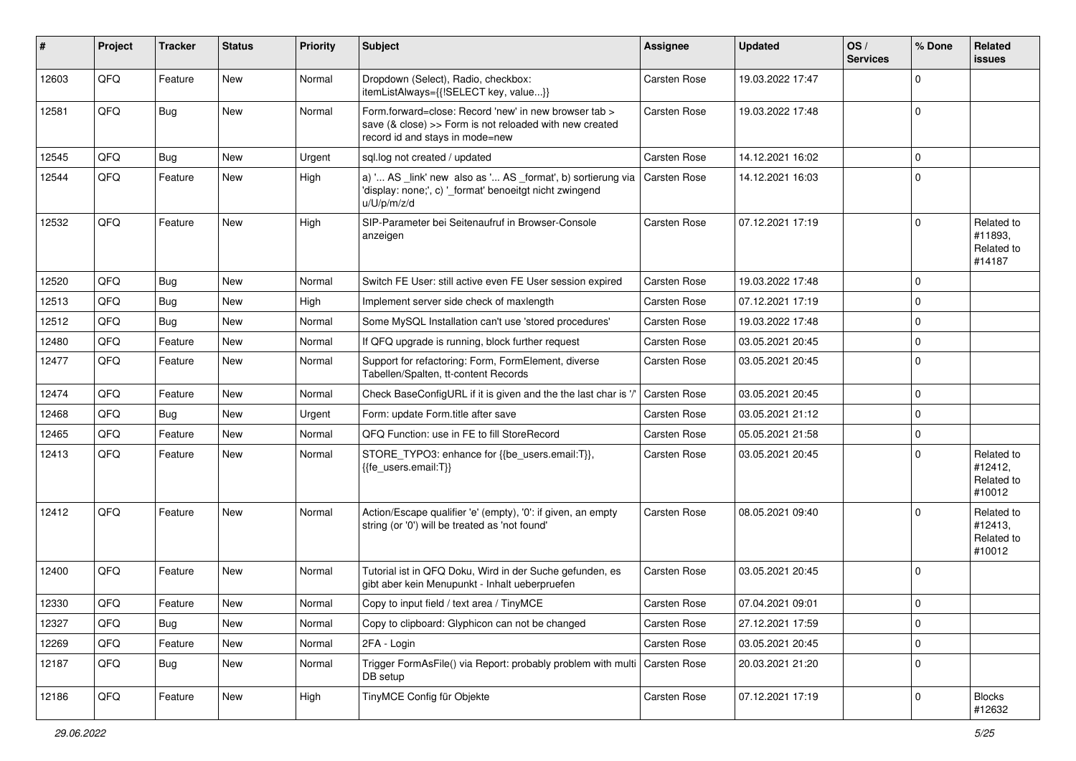| #     | Project | <b>Tracker</b> | <b>Status</b> | <b>Priority</b> | <b>Subject</b>                                                                                                                                      | <b>Assignee</b>     | <b>Updated</b>   | OS/<br><b>Services</b> | % Done      | <b>Related</b><br>issues                      |
|-------|---------|----------------|---------------|-----------------|-----------------------------------------------------------------------------------------------------------------------------------------------------|---------------------|------------------|------------------------|-------------|-----------------------------------------------|
| 12603 | QFQ     | Feature        | New           | Normal          | Dropdown (Select), Radio, checkbox:<br>itemListAlways={{!SELECT key, value}}                                                                        | <b>Carsten Rose</b> | 19.03.2022 17:47 |                        | $\Omega$    |                                               |
| 12581 | QFQ     | Bug            | New           | Normal          | Form.forward=close: Record 'new' in new browser tab ><br>save (& close) >> Form is not reloaded with new created<br>record id and stays in mode=new | <b>Carsten Rose</b> | 19.03.2022 17:48 |                        | $\Omega$    |                                               |
| 12545 | QFQ     | Bug            | New           | Urgent          | sql.log not created / updated                                                                                                                       | <b>Carsten Rose</b> | 14.12.2021 16:02 |                        | $\Omega$    |                                               |
| 12544 | QFQ     | Feature        | New           | High            | a) ' AS _link' new also as ' AS _format', b) sortierung via<br>'display: none;', c) '_format' benoeitgt nicht zwingend<br>u/U/p/m/z/d               | Carsten Rose        | 14.12.2021 16:03 |                        | $\Omega$    |                                               |
| 12532 | QFQ     | Feature        | New           | High            | SIP-Parameter bei Seitenaufruf in Browser-Console<br>anzeigen                                                                                       | Carsten Rose        | 07.12.2021 17:19 |                        | $\Omega$    | Related to<br>#11893,<br>Related to<br>#14187 |
| 12520 | QFQ     | <b>Bug</b>     | <b>New</b>    | Normal          | Switch FE User: still active even FE User session expired                                                                                           | <b>Carsten Rose</b> | 19.03.2022 17:48 |                        | $\Omega$    |                                               |
| 12513 | QFQ     | <b>Bug</b>     | New           | High            | Implement server side check of maxlength                                                                                                            | Carsten Rose        | 07.12.2021 17:19 |                        | $\Omega$    |                                               |
| 12512 | QFQ     | Bug            | New           | Normal          | Some MySQL Installation can't use 'stored procedures'                                                                                               | Carsten Rose        | 19.03.2022 17:48 |                        | $\Omega$    |                                               |
| 12480 | QFQ     | Feature        | New           | Normal          | If QFQ upgrade is running, block further request                                                                                                    | Carsten Rose        | 03.05.2021 20:45 |                        | $\Omega$    |                                               |
| 12477 | QFQ     | Feature        | New           | Normal          | Support for refactoring: Form, FormElement, diverse<br>Tabellen/Spalten, tt-content Records                                                         | Carsten Rose        | 03.05.2021 20:45 |                        | $\Omega$    |                                               |
| 12474 | QFQ     | Feature        | <b>New</b>    | Normal          | Check BaseConfigURL if it is given and the the last char is '/'                                                                                     | Carsten Rose        | 03.05.2021 20:45 |                        | $\Omega$    |                                               |
| 12468 | QFQ     | Bug            | New           | Urgent          | Form: update Form.title after save                                                                                                                  | <b>Carsten Rose</b> | 03.05.2021 21:12 |                        | $\Omega$    |                                               |
| 12465 | QFQ     | Feature        | New           | Normal          | QFQ Function: use in FE to fill StoreRecord                                                                                                         | <b>Carsten Rose</b> | 05.05.2021 21:58 |                        | $\Omega$    |                                               |
| 12413 | QFQ     | Feature        | New           | Normal          | STORE_TYPO3: enhance for {{be_users.email:T}},<br>{{fe_users.email:T}}                                                                              | Carsten Rose        | 03.05.2021 20:45 |                        | $\Omega$    | Related to<br>#12412,<br>Related to<br>#10012 |
| 12412 | QFQ     | Feature        | New           | Normal          | Action/Escape qualifier 'e' (empty), '0': if given, an empty<br>string (or '0') will be treated as 'not found'                                      | <b>Carsten Rose</b> | 08.05.2021 09:40 |                        | $\Omega$    | Related to<br>#12413,<br>Related to<br>#10012 |
| 12400 | QFQ     | Feature        | New           | Normal          | Tutorial ist in QFQ Doku, Wird in der Suche gefunden, es<br>gibt aber kein Menupunkt - Inhalt ueberpruefen                                          | <b>Carsten Rose</b> | 03.05.2021 20:45 |                        | $\Omega$    |                                               |
| 12330 | QFQ     | Feature        | <b>New</b>    | Normal          | Copy to input field / text area / TinyMCE                                                                                                           | <b>Carsten Rose</b> | 07.04.2021 09:01 |                        | $\mathbf 0$ |                                               |
| 12327 | QFQ     | <b>Bug</b>     | New           | Normal          | Copy to clipboard: Glyphicon can not be changed                                                                                                     | Carsten Rose        | 27.12.2021 17:59 |                        | $\mathbf 0$ |                                               |
| 12269 | QFQ     | Feature        | New           | Normal          | 2FA - Login                                                                                                                                         | Carsten Rose        | 03.05.2021 20:45 |                        | 0           |                                               |
| 12187 | QFQ     | <b>Bug</b>     | New           | Normal          | Trigger FormAsFile() via Report: probably problem with multi   Carsten Rose<br>DB setup                                                             |                     | 20.03.2021 21:20 |                        | $\Omega$    |                                               |
| 12186 | QFQ     | Feature        | New           | High            | TinyMCE Config für Objekte                                                                                                                          | Carsten Rose        | 07.12.2021 17:19 |                        | 0           | <b>Blocks</b><br>#12632                       |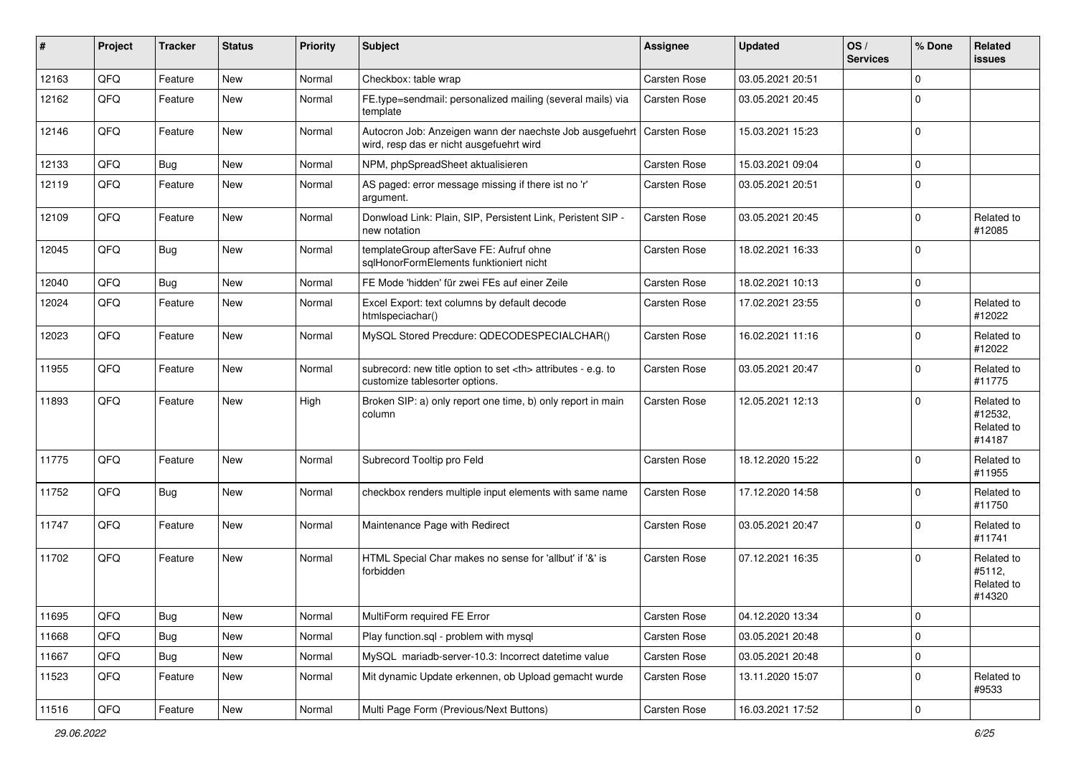| #     | Project | <b>Tracker</b> | <b>Status</b> | <b>Priority</b> | <b>Subject</b>                                                                                       | <b>Assignee</b>                                        | <b>Updated</b>   | OS/<br><b>Services</b> | % Done      | Related<br><b>issues</b>                      |                      |
|-------|---------|----------------|---------------|-----------------|------------------------------------------------------------------------------------------------------|--------------------------------------------------------|------------------|------------------------|-------------|-----------------------------------------------|----------------------|
| 12163 | QFQ     | Feature        | New           | Normal          | Checkbox: table wrap                                                                                 | Carsten Rose                                           | 03.05.2021 20:51 |                        | $\mathbf 0$ |                                               |                      |
| 12162 | QFQ     | Feature        | New           | Normal          | FE.type=sendmail: personalized mailing (several mails) via<br>template                               | Carsten Rose                                           | 03.05.2021 20:45 |                        | 0           |                                               |                      |
| 12146 | QFQ     | Feature        | New           | Normal          | Autocron Job: Anzeigen wann der naechste Job ausgefuehrt<br>wird, resp das er nicht ausgefuehrt wird | Carsten Rose                                           | 15.03.2021 15:23 |                        | $\mathbf 0$ |                                               |                      |
| 12133 | QFQ     | Bug            | New           | Normal          | NPM, phpSpreadSheet aktualisieren                                                                    | Carsten Rose                                           | 15.03.2021 09:04 |                        | $\mathbf 0$ |                                               |                      |
| 12119 | QFQ     | Feature        | New           | Normal          | AS paged: error message missing if there ist no 'r'<br>argument.                                     | Carsten Rose                                           | 03.05.2021 20:51 |                        | $\mathbf 0$ |                                               |                      |
| 12109 | QFQ     | Feature        | New           | Normal          | Donwload Link: Plain, SIP, Persistent Link, Peristent SIP -<br>new notation                          | Carsten Rose                                           | 03.05.2021 20:45 |                        | $\mathbf 0$ | Related to<br>#12085                          |                      |
| 12045 | QFQ     | Bug            | New           | Normal          | templateGroup afterSave FE: Aufruf ohne<br>sqlHonorFormElements funktioniert nicht                   | Carsten Rose                                           | 18.02.2021 16:33 |                        | $\mathbf 0$ |                                               |                      |
| 12040 | QFQ     | <b>Bug</b>     | New           | Normal          | FE Mode 'hidden' für zwei FEs auf einer Zeile                                                        | Carsten Rose                                           | 18.02.2021 10:13 |                        | $\mathbf 0$ |                                               |                      |
| 12024 | QFQ     | Feature        | New           | Normal          | Excel Export: text columns by default decode<br>htmlspeciachar()                                     | Carsten Rose                                           | 17.02.2021 23:55 |                        | $\mathbf 0$ | Related to<br>#12022                          |                      |
| 12023 | QFQ     | Feature        | New           | Normal          | MySQL Stored Precdure: QDECODESPECIALCHAR()                                                          | <b>Carsten Rose</b>                                    | 16.02.2021 11:16 |                        | 0           | Related to<br>#12022                          |                      |
| 11955 | QFQ     | Feature        | New           | Normal          | subrecord: new title option to set <th> attributes - e.g. to<br/>customize tablesorter options.</th> | attributes - e.g. to<br>customize tablesorter options. | Carsten Rose     | 03.05.2021 20:47       |             | $\mathbf 0$                                   | Related to<br>#11775 |
| 11893 | QFQ     | Feature        | New           | High            | Broken SIP: a) only report one time, b) only report in main<br>column                                | <b>Carsten Rose</b>                                    | 12.05.2021 12:13 |                        | $\Omega$    | Related to<br>#12532,<br>Related to<br>#14187 |                      |
| 11775 | QFQ     | Feature        | New           | Normal          | Subrecord Tooltip pro Feld                                                                           | Carsten Rose                                           | 18.12.2020 15:22 |                        | $\mathbf 0$ | Related to<br>#11955                          |                      |
| 11752 | QFQ     | <b>Bug</b>     | New           | Normal          | checkbox renders multiple input elements with same name                                              | Carsten Rose                                           | 17.12.2020 14:58 |                        | $\mathbf 0$ | Related to<br>#11750                          |                      |
| 11747 | QFQ     | Feature        | New           | Normal          | Maintenance Page with Redirect                                                                       | Carsten Rose                                           | 03.05.2021 20:47 |                        | $\mathbf 0$ | Related to<br>#11741                          |                      |
| 11702 | QFQ     | Feature        | New           | Normal          | HTML Special Char makes no sense for 'allbut' if '&' is<br>forbidden                                 | Carsten Rose                                           | 07.12.2021 16:35 |                        | $\Omega$    | Related to<br>#5112,<br>Related to<br>#14320  |                      |
| 11695 | QFQ     | <b>Bug</b>     | New           | Normal          | MultiForm required FE Error                                                                          | Carsten Rose                                           | 04.12.2020 13:34 |                        | $\mathbf 0$ |                                               |                      |
| 11668 | QFQ     | <b>Bug</b>     | New           | Normal          | Play function.sql - problem with mysql                                                               | Carsten Rose                                           | 03.05.2021 20:48 |                        | $\mathbf 0$ |                                               |                      |
| 11667 | QFQ     | <b>Bug</b>     | New           | Normal          | MySQL mariadb-server-10.3: Incorrect datetime value                                                  | Carsten Rose                                           | 03.05.2021 20:48 |                        | $\mathbf 0$ |                                               |                      |
| 11523 | QFQ     | Feature        | New           | Normal          | Mit dynamic Update erkennen, ob Upload gemacht wurde                                                 | Carsten Rose                                           | 13.11.2020 15:07 |                        | $\mathbf 0$ | Related to<br>#9533                           |                      |
| 11516 | QFQ     | Feature        | New           | Normal          | Multi Page Form (Previous/Next Buttons)                                                              | Carsten Rose                                           | 16.03.2021 17:52 |                        | $\mathbf 0$ |                                               |                      |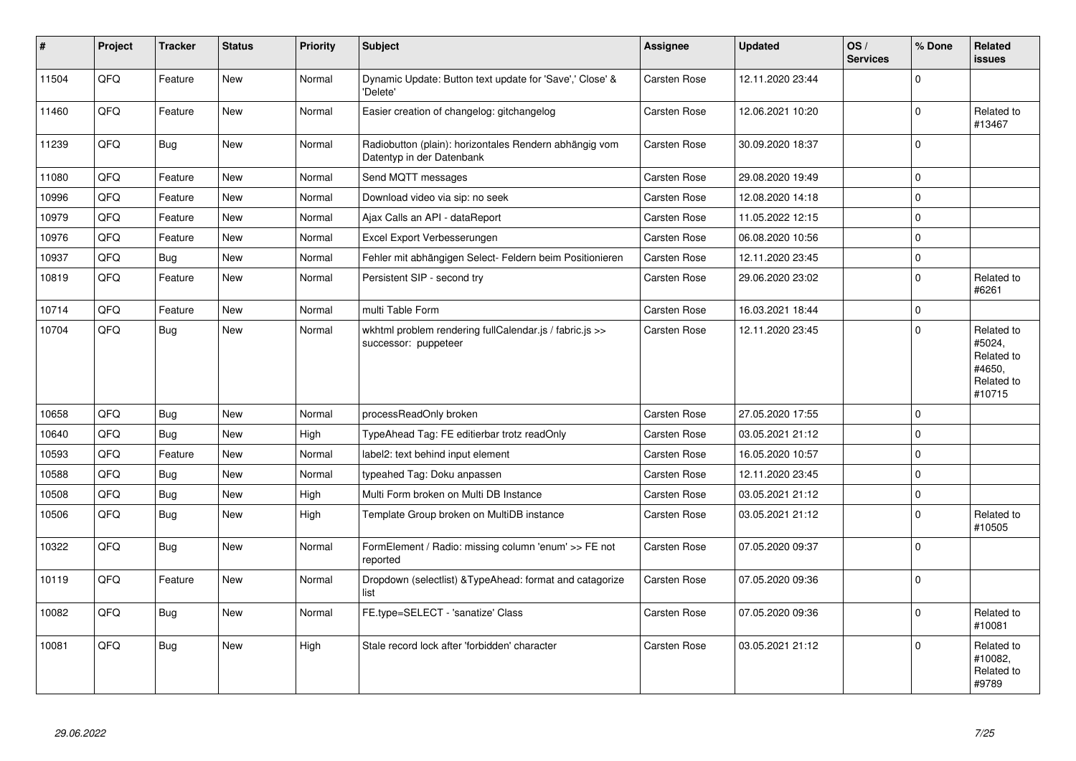| #     | Project | <b>Tracker</b> | <b>Status</b> | <b>Priority</b> | Subject                                                                             | Assignee            | <b>Updated</b>   | OS/<br><b>Services</b> | % Done      | Related<br><b>issues</b>                                             |
|-------|---------|----------------|---------------|-----------------|-------------------------------------------------------------------------------------|---------------------|------------------|------------------------|-------------|----------------------------------------------------------------------|
| 11504 | QFQ     | Feature        | <b>New</b>    | Normal          | Dynamic Update: Button text update for 'Save',' Close' &<br>'Delete'                | <b>Carsten Rose</b> | 12.11.2020 23:44 |                        | $\Omega$    |                                                                      |
| 11460 | QFQ     | Feature        | <b>New</b>    | Normal          | Easier creation of changelog: gitchangelog                                          | Carsten Rose        | 12.06.2021 10:20 |                        | $\Omega$    | Related to<br>#13467                                                 |
| 11239 | QFQ     | Bug            | New           | Normal          | Radiobutton (plain): horizontales Rendern abhängig vom<br>Datentyp in der Datenbank | Carsten Rose        | 30.09.2020 18:37 |                        | $\Omega$    |                                                                      |
| 11080 | QFQ     | Feature        | New           | Normal          | Send MQTT messages                                                                  | Carsten Rose        | 29.08.2020 19:49 |                        | $\mathbf 0$ |                                                                      |
| 10996 | QFQ     | Feature        | <b>New</b>    | Normal          | Download video via sip: no seek                                                     | Carsten Rose        | 12.08.2020 14:18 |                        | 0           |                                                                      |
| 10979 | QFQ     | Feature        | New           | Normal          | Ajax Calls an API - dataReport                                                      | Carsten Rose        | 11.05.2022 12:15 |                        | $\mathbf 0$ |                                                                      |
| 10976 | QFQ     | Feature        | New           | Normal          | Excel Export Verbesserungen                                                         | Carsten Rose        | 06.08.2020 10:56 |                        | $\Omega$    |                                                                      |
| 10937 | QFQ     | <b>Bug</b>     | New           | Normal          | Fehler mit abhängigen Select- Feldern beim Positionieren                            | Carsten Rose        | 12.11.2020 23:45 |                        | $\mathbf 0$ |                                                                      |
| 10819 | QFQ     | Feature        | New           | Normal          | Persistent SIP - second try                                                         | Carsten Rose        | 29.06.2020 23:02 |                        | $\pmb{0}$   | Related to<br>#6261                                                  |
| 10714 | QFQ     | Feature        | New           | Normal          | multi Table Form                                                                    | Carsten Rose        | 16.03.2021 18:44 |                        | $\Omega$    |                                                                      |
| 10704 | QFQ     | Bug            | New           | Normal          | wkhtml problem rendering fullCalendar.js / fabric.js >><br>successor: puppeteer     | Carsten Rose        | 12.11.2020 23:45 |                        | $\Omega$    | Related to<br>#5024,<br>Related to<br>#4650.<br>Related to<br>#10715 |
| 10658 | QFQ     | <b>Bug</b>     | <b>New</b>    | Normal          | processReadOnly broken                                                              | Carsten Rose        | 27.05.2020 17:55 |                        | $\Omega$    |                                                                      |
| 10640 | QFQ     | <b>Bug</b>     | New           | High            | TypeAhead Tag: FE editierbar trotz readOnly                                         | Carsten Rose        | 03.05.2021 21:12 |                        | $\Omega$    |                                                                      |
| 10593 | QFQ     | Feature        | <b>New</b>    | Normal          | label2: text behind input element                                                   | Carsten Rose        | 16.05.2020 10:57 |                        | 0           |                                                                      |
| 10588 | QFQ     | <b>Bug</b>     | New           | Normal          | typeahed Tag: Doku anpassen                                                         | Carsten Rose        | 12.11.2020 23:45 |                        | $\Omega$    |                                                                      |
| 10508 | QFQ     | <b>Bug</b>     | New           | High            | Multi Form broken on Multi DB Instance                                              | Carsten Rose        | 03.05.2021 21:12 |                        | $\pmb{0}$   |                                                                      |
| 10506 | QFQ     | Bug            | New           | High            | Template Group broken on MultiDB instance                                           | Carsten Rose        | 03.05.2021 21:12 |                        | 0           | Related to<br>#10505                                                 |
| 10322 | QFQ     | Bug            | New           | Normal          | FormElement / Radio: missing column 'enum' >> FE not<br>reported                    | Carsten Rose        | 07.05.2020 09:37 |                        | $\Omega$    |                                                                      |
| 10119 | QFQ     | Feature        | New           | Normal          | Dropdown (selectlist) & TypeAhead: format and catagorize<br>list                    | Carsten Rose        | 07.05.2020 09:36 |                        | $\Omega$    |                                                                      |
| 10082 | QFQ     | <b>Bug</b>     | New           | Normal          | FE.type=SELECT - 'sanatize' Class                                                   | Carsten Rose        | 07.05.2020 09:36 |                        | $\Omega$    | Related to<br>#10081                                                 |
| 10081 | QFQ     | Bug            | <b>New</b>    | High            | Stale record lock after 'forbidden' character                                       | Carsten Rose        | 03.05.2021 21:12 |                        | $\Omega$    | Related to<br>#10082,<br>Related to<br>#9789                         |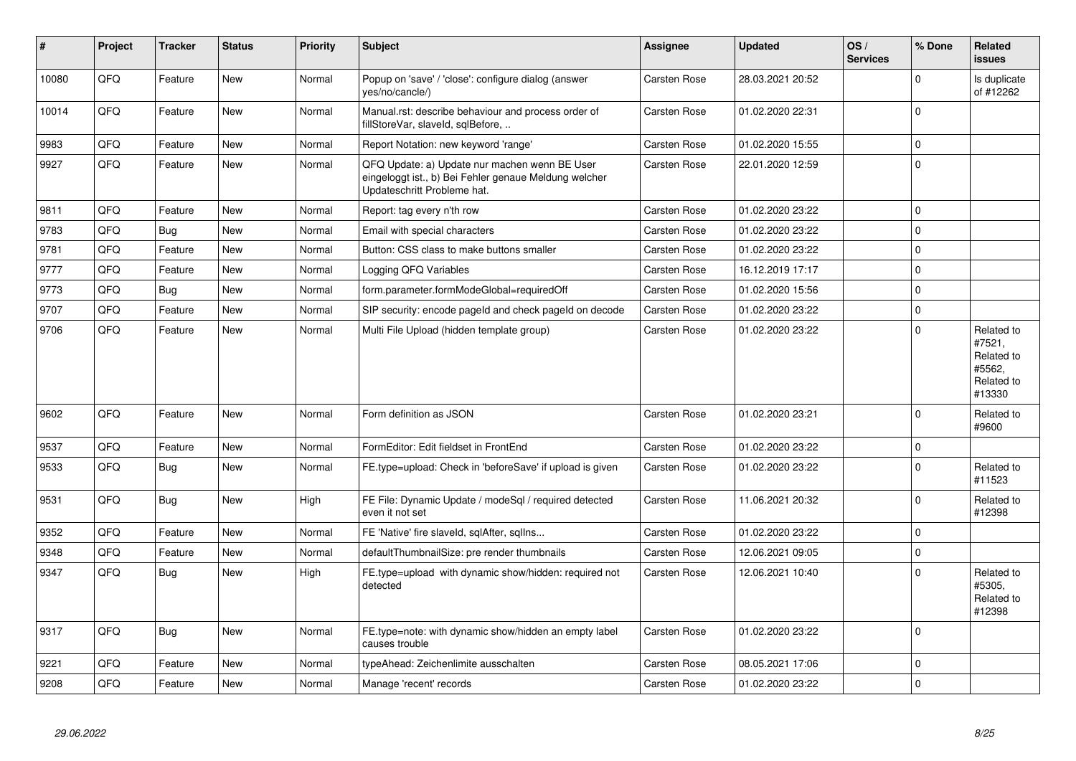| #     | Project | <b>Tracker</b> | <b>Status</b> | <b>Priority</b> | <b>Subject</b>                                                                                                                        | Assignee            | <b>Updated</b>   | OS/<br><b>Services</b> | % Done      | Related<br><b>issues</b>                                             |
|-------|---------|----------------|---------------|-----------------|---------------------------------------------------------------------------------------------------------------------------------------|---------------------|------------------|------------------------|-------------|----------------------------------------------------------------------|
| 10080 | QFQ     | Feature        | <b>New</b>    | Normal          | Popup on 'save' / 'close': configure dialog (answer<br>yes/no/cancle/)                                                                | Carsten Rose        | 28.03.2021 20:52 |                        | $\Omega$    | Is duplicate<br>of #12262                                            |
| 10014 | QFQ     | Feature        | <b>New</b>    | Normal          | Manual.rst: describe behaviour and process order of<br>fillStoreVar, slaveId, sqlBefore,                                              | Carsten Rose        | 01.02.2020 22:31 |                        | $\Omega$    |                                                                      |
| 9983  | QFQ     | Feature        | New           | Normal          | Report Notation: new keyword 'range'                                                                                                  | Carsten Rose        | 01.02.2020 15:55 |                        | $\mathbf 0$ |                                                                      |
| 9927  | QFQ     | Feature        | <b>New</b>    | Normal          | QFQ Update: a) Update nur machen wenn BE User<br>eingeloggt ist., b) Bei Fehler genaue Meldung welcher<br>Updateschritt Probleme hat. | <b>Carsten Rose</b> | 22.01.2020 12:59 |                        | $\Omega$    |                                                                      |
| 9811  | QFQ     | Feature        | <b>New</b>    | Normal          | Report: tag every n'th row                                                                                                            | Carsten Rose        | 01.02.2020 23:22 |                        | $\Omega$    |                                                                      |
| 9783  | QFQ     | <b>Bug</b>     | <b>New</b>    | Normal          | Email with special characters                                                                                                         | Carsten Rose        | 01.02.2020 23:22 |                        | $\Omega$    |                                                                      |
| 9781  | QFQ     | Feature        | <b>New</b>    | Normal          | Button: CSS class to make buttons smaller                                                                                             | <b>Carsten Rose</b> | 01.02.2020 23:22 |                        | $\mathbf 0$ |                                                                      |
| 9777  | QFQ     | Feature        | <b>New</b>    | Normal          | Logging QFQ Variables                                                                                                                 | Carsten Rose        | 16.12.2019 17:17 |                        | $\Omega$    |                                                                      |
| 9773  | QFQ     | <b>Bug</b>     | <b>New</b>    | Normal          | form.parameter.formModeGlobal=requiredOff                                                                                             | Carsten Rose        | 01.02.2020 15:56 |                        | $\mathbf 0$ |                                                                      |
| 9707  | QFQ     | Feature        | New           | Normal          | SIP security: encode pageld and check pageld on decode                                                                                | Carsten Rose        | 01.02.2020 23:22 |                        | $\Omega$    |                                                                      |
| 9706  | QFQ     | Feature        | <b>New</b>    | Normal          | Multi File Upload (hidden template group)                                                                                             | Carsten Rose        | 01.02.2020 23:22 |                        | $\Omega$    | Related to<br>#7521,<br>Related to<br>#5562,<br>Related to<br>#13330 |
| 9602  | QFQ     | Feature        | <b>New</b>    | Normal          | Form definition as JSON                                                                                                               | Carsten Rose        | 01.02.2020 23:21 |                        | $\Omega$    | Related to<br>#9600                                                  |
| 9537  | QFQ     | Feature        | <b>New</b>    | Normal          | FormEditor: Edit fieldset in FrontEnd                                                                                                 | Carsten Rose        | 01.02.2020 23:22 |                        | $\Omega$    |                                                                      |
| 9533  | QFQ     | <b>Bug</b>     | <b>New</b>    | Normal          | FE.type=upload: Check in 'beforeSave' if upload is given                                                                              | <b>Carsten Rose</b> | 01.02.2020 23:22 |                        | $\Omega$    | Related to<br>#11523                                                 |
| 9531  | QFQ     | Bug            | <b>New</b>    | High            | FE File: Dynamic Update / modeSql / required detected<br>even it not set                                                              | Carsten Rose        | 11.06.2021 20:32 |                        | $\Omega$    | Related to<br>#12398                                                 |
| 9352  | QFQ     | Feature        | <b>New</b>    | Normal          | FE 'Native' fire slaveld, sqlAfter, sqllns                                                                                            | Carsten Rose        | 01.02.2020 23:22 |                        | $\mathbf 0$ |                                                                      |
| 9348  | QFQ     | Feature        | <b>New</b>    | Normal          | defaultThumbnailSize: pre render thumbnails                                                                                           | Carsten Rose        | 12.06.2021 09:05 |                        | $\Omega$    |                                                                      |
| 9347  | QFQ     | Bug            | New           | High            | FE.type=upload with dynamic show/hidden: required not<br>detected                                                                     | Carsten Rose        | 12.06.2021 10:40 |                        | $\Omega$    | Related to<br>#5305.<br>Related to<br>#12398                         |
| 9317  | QFQ     | Bug            | <b>New</b>    | Normal          | FE.type=note: with dynamic show/hidden an empty label<br>causes trouble                                                               | <b>Carsten Rose</b> | 01.02.2020 23:22 |                        | $\Omega$    |                                                                      |
| 9221  | QFQ     | Feature        | <b>New</b>    | Normal          | typeAhead: Zeichenlimite ausschalten                                                                                                  | Carsten Rose        | 08.05.2021 17:06 |                        | $\Omega$    |                                                                      |
| 9208  | QFQ     | Feature        | <b>New</b>    | Normal          | Manage 'recent' records                                                                                                               | <b>Carsten Rose</b> | 01.02.2020 23:22 |                        | $\Omega$    |                                                                      |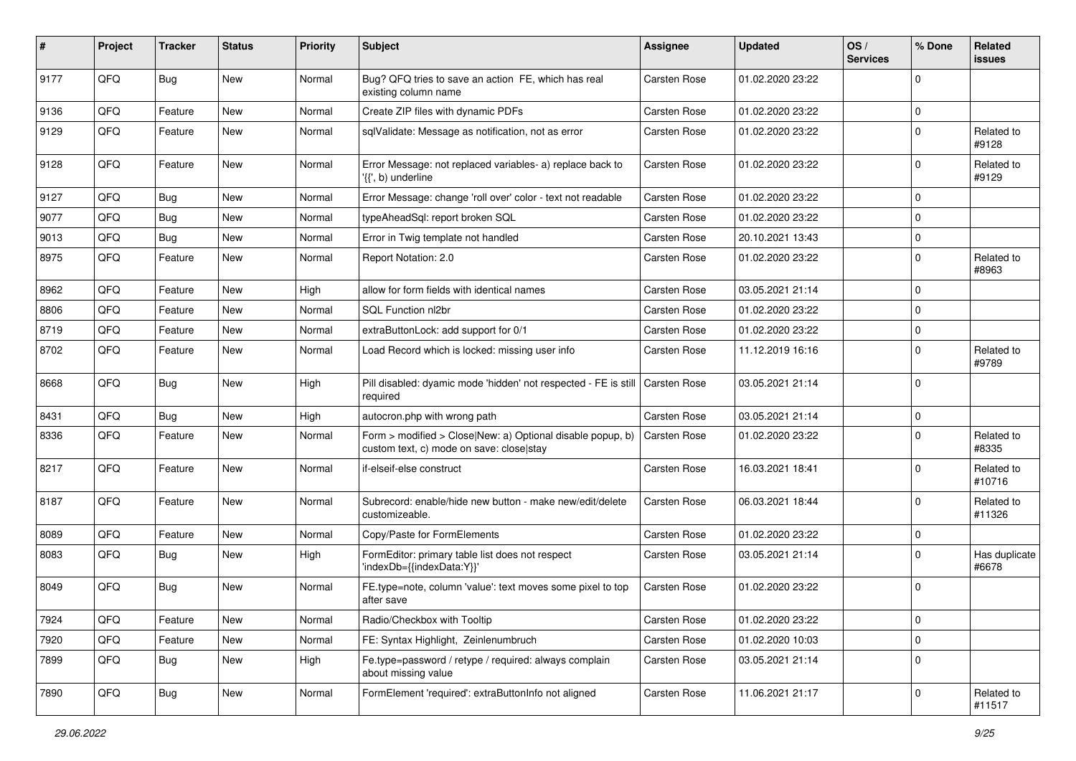| #    | Project | <b>Tracker</b> | <b>Status</b> | <b>Priority</b> | <b>Subject</b>                                                                                         | <b>Assignee</b>     | <b>Updated</b>   | OS/<br><b>Services</b> | % Done      | <b>Related</b><br><b>issues</b> |
|------|---------|----------------|---------------|-----------------|--------------------------------------------------------------------------------------------------------|---------------------|------------------|------------------------|-------------|---------------------------------|
| 9177 | QFQ     | <b>Bug</b>     | <b>New</b>    | Normal          | Bug? QFQ tries to save an action FE, which has real<br>existing column name                            | Carsten Rose        | 01.02.2020 23:22 |                        | $\Omega$    |                                 |
| 9136 | QFQ     | Feature        | New           | Normal          | Create ZIP files with dynamic PDFs                                                                     | <b>Carsten Rose</b> | 01.02.2020 23:22 |                        | $\Omega$    |                                 |
| 9129 | QFQ     | Feature        | <b>New</b>    | Normal          | sqlValidate: Message as notification, not as error                                                     | Carsten Rose        | 01.02.2020 23:22 |                        | $\Omega$    | Related to<br>#9128             |
| 9128 | QFQ     | Feature        | New           | Normal          | Error Message: not replaced variables- a) replace back to<br>'{{', b) underline                        | Carsten Rose        | 01.02.2020 23:22 |                        | $\Omega$    | Related to<br>#9129             |
| 9127 | QFQ     | <b>Bug</b>     | <b>New</b>    | Normal          | Error Message: change 'roll over' color - text not readable                                            | <b>Carsten Rose</b> | 01.02.2020 23:22 |                        | $\Omega$    |                                 |
| 9077 | QFQ     | <b>Bug</b>     | <b>New</b>    | Normal          | typeAheadSql: report broken SQL                                                                        | Carsten Rose        | 01.02.2020 23:22 |                        | $\Omega$    |                                 |
| 9013 | QFQ     | <b>Bug</b>     | New           | Normal          | Error in Twig template not handled                                                                     | Carsten Rose        | 20.10.2021 13:43 |                        | $\Omega$    |                                 |
| 8975 | QFQ     | Feature        | New           | Normal          | Report Notation: 2.0                                                                                   | Carsten Rose        | 01.02.2020 23:22 |                        | $\Omega$    | Related to<br>#8963             |
| 8962 | QFQ     | Feature        | New           | High            | allow for form fields with identical names                                                             | <b>Carsten Rose</b> | 03.05.2021 21:14 |                        | $\Omega$    |                                 |
| 8806 | QFQ     | Feature        | New           | Normal          | SQL Function nl2br                                                                                     | Carsten Rose        | 01.02.2020 23:22 |                        | $\Omega$    |                                 |
| 8719 | QFQ     | Feature        | New           | Normal          | extraButtonLock: add support for 0/1                                                                   | <b>Carsten Rose</b> | 01.02.2020 23:22 |                        | $\Omega$    |                                 |
| 8702 | QFQ     | Feature        | <b>New</b>    | Normal          | Load Record which is locked: missing user info                                                         | Carsten Rose        | 11.12.2019 16:16 |                        | $\Omega$    | Related to<br>#9789             |
| 8668 | QFQ     | <b>Bug</b>     | New           | High            | Pill disabled: dyamic mode 'hidden' not respected - FE is still<br>required                            | <b>Carsten Rose</b> | 03.05.2021 21:14 |                        | $\Omega$    |                                 |
| 8431 | QFQ     | <b>Bug</b>     | <b>New</b>    | High            | autocron.php with wrong path                                                                           | Carsten Rose        | 03.05.2021 21:14 |                        | $\mathbf 0$ |                                 |
| 8336 | QFQ     | Feature        | New           | Normal          | Form > modified > Close New: a) Optional disable popup, b)<br>custom text, c) mode on save: close stay | Carsten Rose        | 01.02.2020 23:22 |                        | $\Omega$    | Related to<br>#8335             |
| 8217 | QFQ     | Feature        | <b>New</b>    | Normal          | if-elseif-else construct                                                                               | Carsten Rose        | 16.03.2021 18:41 |                        | $\Omega$    | Related to<br>#10716            |
| 8187 | QFQ     | Feature        | New           | Normal          | Subrecord: enable/hide new button - make new/edit/delete<br>customizeable.                             | Carsten Rose        | 06.03.2021 18:44 |                        | $\Omega$    | Related to<br>#11326            |
| 8089 | QFQ     | Feature        | <b>New</b>    | Normal          | Copy/Paste for FormElements                                                                            | <b>Carsten Rose</b> | 01.02.2020 23:22 |                        | $\Omega$    |                                 |
| 8083 | QFQ     | Bug            | New           | High            | FormEditor: primary table list does not respect<br>'indexDb={{indexData:Y}}'                           | Carsten Rose        | 03.05.2021 21:14 |                        | $\Omega$    | Has duplicate<br>#6678          |
| 8049 | QFQ     | <b>Bug</b>     | New           | Normal          | FE.type=note, column 'value': text moves some pixel to top<br>after save                               | Carsten Rose        | 01.02.2020 23:22 |                        | $\Omega$    |                                 |
| 7924 | QFQ     | Feature        | New           | Normal          | Radio/Checkbox with Tooltip                                                                            | Carsten Rose        | 01.02.2020 23:22 |                        | 0           |                                 |
| 7920 | QFQ     | Feature        | New           | Normal          | FE: Syntax Highlight, Zeinlenumbruch                                                                   | Carsten Rose        | 01.02.2020 10:03 |                        | 0           |                                 |
| 7899 | QFQ     | <b>Bug</b>     | New           | High            | Fe.type=password / retype / required: always complain<br>about missing value                           | Carsten Rose        | 03.05.2021 21:14 |                        | 0           |                                 |
| 7890 | QFQ     | <b>Bug</b>     | New           | Normal          | FormElement 'required': extraButtonInfo not aligned                                                    | <b>Carsten Rose</b> | 11.06.2021 21:17 |                        | 0           | Related to<br>#11517            |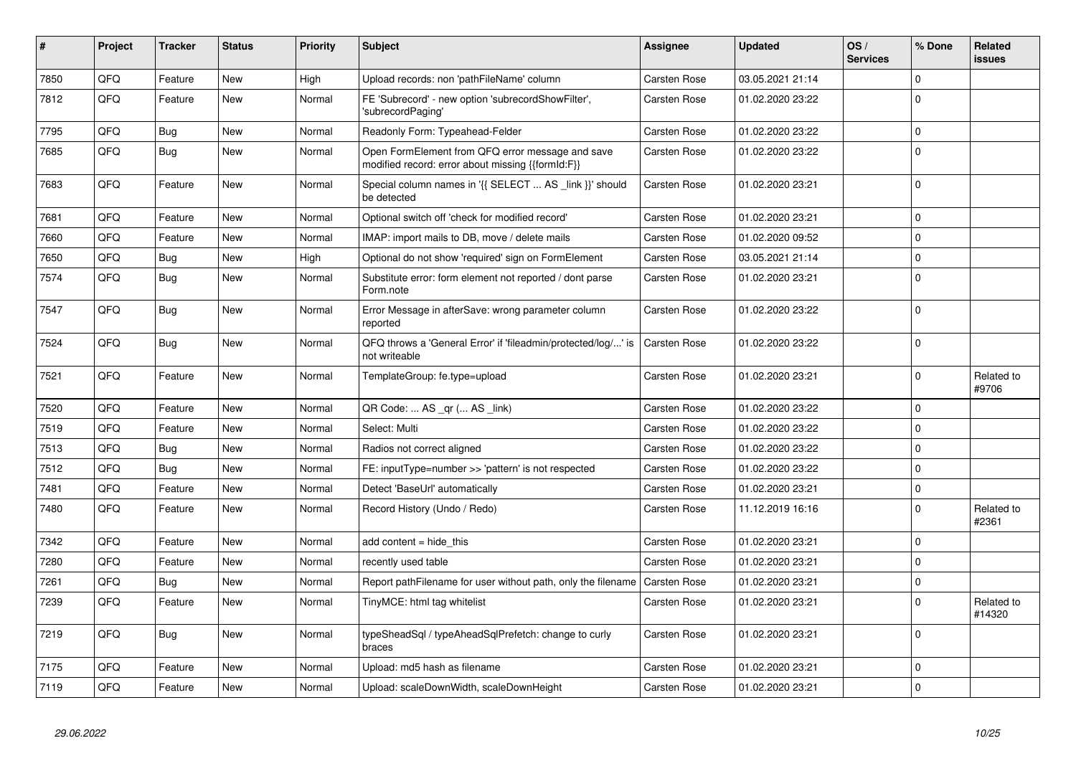| #    | Project | <b>Tracker</b> | <b>Status</b> | <b>Priority</b> | <b>Subject</b>                                                                                        | <b>Assignee</b>     | <b>Updated</b>   | OS/<br><b>Services</b> | % Done      | Related<br><b>issues</b> |
|------|---------|----------------|---------------|-----------------|-------------------------------------------------------------------------------------------------------|---------------------|------------------|------------------------|-------------|--------------------------|
| 7850 | QFQ     | Feature        | <b>New</b>    | High            | Upload records: non 'pathFileName' column                                                             | Carsten Rose        | 03.05.2021 21:14 |                        | $\mathbf 0$ |                          |
| 7812 | QFQ     | Feature        | New           | Normal          | FE 'Subrecord' - new option 'subrecordShowFilter',<br>'subrecordPaging'                               | Carsten Rose        | 01.02.2020 23:22 |                        | $\Omega$    |                          |
| 7795 | QFQ     | <b>Bug</b>     | <b>New</b>    | Normal          | Readonly Form: Typeahead-Felder                                                                       | Carsten Rose        | 01.02.2020 23:22 |                        | $\mathbf 0$ |                          |
| 7685 | QFQ     | <b>Bug</b>     | New           | Normal          | Open FormElement from QFQ error message and save<br>modified record: error about missing {{formId:F}} | Carsten Rose        | 01.02.2020 23:22 |                        | $\Omega$    |                          |
| 7683 | QFQ     | Feature        | <b>New</b>    | Normal          | Special column names in '{{ SELECT  AS _link }}' should<br>be detected                                | Carsten Rose        | 01.02.2020 23:21 |                        | $\Omega$    |                          |
| 7681 | QFQ     | Feature        | <b>New</b>    | Normal          | Optional switch off 'check for modified record'                                                       | Carsten Rose        | 01.02.2020 23:21 |                        | $\mathbf 0$ |                          |
| 7660 | QFQ     | Feature        | New           | Normal          | IMAP: import mails to DB, move / delete mails                                                         | Carsten Rose        | 01.02.2020 09:52 |                        | $\mathbf 0$ |                          |
| 7650 | QFQ     | <b>Bug</b>     | New           | High            | Optional do not show 'required' sign on FormElement                                                   | Carsten Rose        | 03.05.2021 21:14 |                        | $\mathbf 0$ |                          |
| 7574 | QFQ     | <b>Bug</b>     | <b>New</b>    | Normal          | Substitute error: form element not reported / dont parse<br>Form.note                                 | <b>Carsten Rose</b> | 01.02.2020 23:21 |                        | $\mathbf 0$ |                          |
| 7547 | QFQ     | Bug            | <b>New</b>    | Normal          | Error Message in afterSave: wrong parameter column<br>reported                                        | <b>Carsten Rose</b> | 01.02.2020 23:22 |                        | $\mathbf 0$ |                          |
| 7524 | QFQ     | <b>Bug</b>     | <b>New</b>    | Normal          | QFQ throws a 'General Error' if 'fileadmin/protected/log/' is<br>not writeable                        | Carsten Rose        | 01.02.2020 23:22 |                        | $\mathbf 0$ |                          |
| 7521 | QFQ     | Feature        | <b>New</b>    | Normal          | TemplateGroup: fe.type=upload                                                                         | Carsten Rose        | 01.02.2020 23:21 |                        | $\mathbf 0$ | Related to<br>#9706      |
| 7520 | QFQ     | Feature        | <b>New</b>    | Normal          | QR Code:  AS _qr ( AS _link)                                                                          | Carsten Rose        | 01.02.2020 23:22 |                        | $\mathbf 0$ |                          |
| 7519 | QFQ     | Feature        | <b>New</b>    | Normal          | Select: Multi                                                                                         | Carsten Rose        | 01.02.2020 23:22 |                        | $\mathbf 0$ |                          |
| 7513 | QFQ     | <b>Bug</b>     | <b>New</b>    | Normal          | Radios not correct aligned                                                                            | Carsten Rose        | 01.02.2020 23:22 |                        | $\mathbf 0$ |                          |
| 7512 | QFQ     | Bug            | <b>New</b>    | Normal          | FE: inputType=number >> 'pattern' is not respected                                                    | Carsten Rose        | 01.02.2020 23:22 |                        | $\mathbf 0$ |                          |
| 7481 | QFQ     | Feature        | New           | Normal          | Detect 'BaseUrl' automatically                                                                        | Carsten Rose        | 01.02.2020 23:21 |                        | $\mathbf 0$ |                          |
| 7480 | QFQ     | Feature        | <b>New</b>    | Normal          | Record History (Undo / Redo)                                                                          | Carsten Rose        | 11.12.2019 16:16 |                        | $\mathbf 0$ | Related to<br>#2361      |
| 7342 | QFQ     | Feature        | New           | Normal          | add content $=$ hide this                                                                             | Carsten Rose        | 01.02.2020 23:21 |                        | $\mathbf 0$ |                          |
| 7280 | QFQ     | Feature        | <b>New</b>    | Normal          | recently used table                                                                                   | Carsten Rose        | 01.02.2020 23:21 |                        | $\mathbf 0$ |                          |
| 7261 | QFQ     | <b>Bug</b>     | <b>New</b>    | Normal          | Report pathFilename for user without path, only the filename                                          | <b>Carsten Rose</b> | 01.02.2020 23:21 |                        | $\mathbf 0$ |                          |
| 7239 | QFQ     | Feature        | New           | Normal          | TinyMCE: html tag whitelist                                                                           | Carsten Rose        | 01.02.2020 23:21 |                        | $\mathbf 0$ | Related to<br>#14320     |
| 7219 | QFQ     | Bug            | New           | Normal          | typeSheadSql / typeAheadSqlPrefetch: change to curly<br>braces                                        | Carsten Rose        | 01.02.2020 23:21 |                        | $\mathbf 0$ |                          |
| 7175 | QFQ     | Feature        | <b>New</b>    | Normal          | Upload: md5 hash as filename                                                                          | Carsten Rose        | 01.02.2020 23:21 |                        | $\mathbf 0$ |                          |
| 7119 | QFQ     | Feature        | New           | Normal          | Upload: scaleDownWidth, scaleDownHeight                                                               | Carsten Rose        | 01.02.2020 23:21 |                        | $\mathbf 0$ |                          |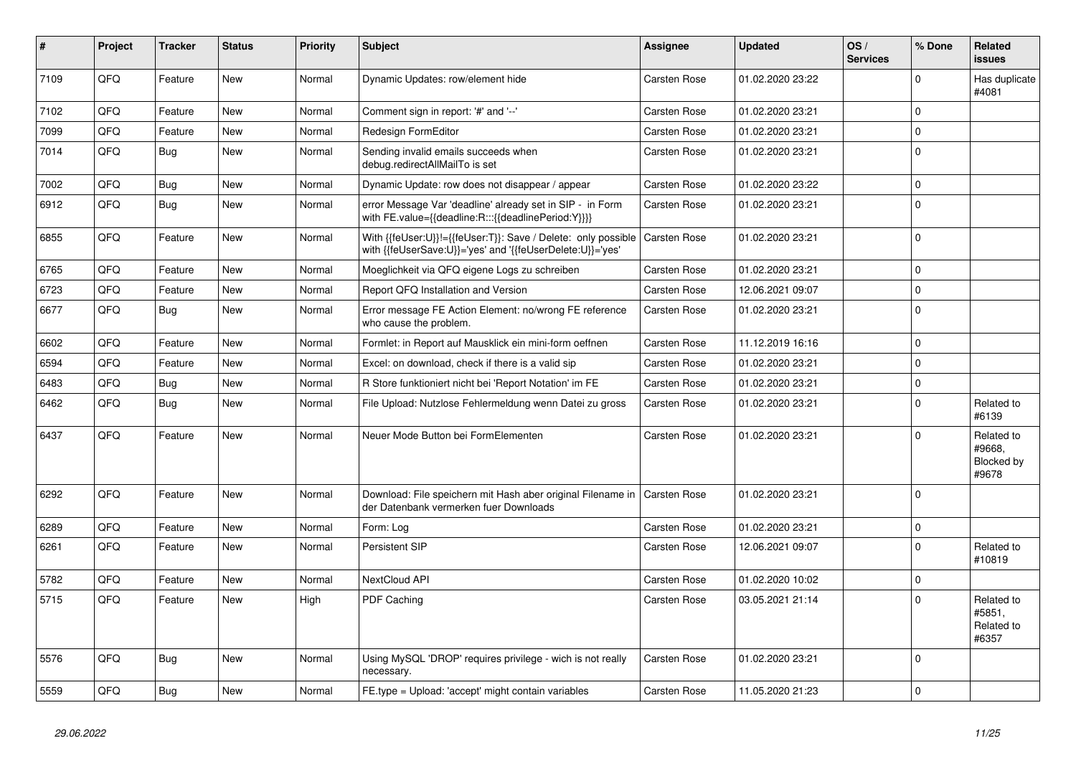| #    | Project | <b>Tracker</b> | <b>Status</b> | <b>Priority</b> | <b>Subject</b>                                                                                                             | <b>Assignee</b>     | <b>Updated</b>   | OS/<br><b>Services</b> | % Done      | Related<br><b>issues</b>                    |
|------|---------|----------------|---------------|-----------------|----------------------------------------------------------------------------------------------------------------------------|---------------------|------------------|------------------------|-------------|---------------------------------------------|
| 7109 | QFQ     | Feature        | <b>New</b>    | Normal          | Dynamic Updates: row/element hide                                                                                          | Carsten Rose        | 01.02.2020 23:22 |                        | $\Omega$    | Has duplicate<br>#4081                      |
| 7102 | QFQ     | Feature        | <b>New</b>    | Normal          | Comment sign in report: '#' and '--'                                                                                       | Carsten Rose        | 01.02.2020 23:21 |                        | $\mathbf 0$ |                                             |
| 7099 | QFQ     | Feature        | <b>New</b>    | Normal          | <b>Redesign FormEditor</b>                                                                                                 | Carsten Rose        | 01.02.2020 23:21 |                        | $\mathbf 0$ |                                             |
| 7014 | QFQ     | <b>Bug</b>     | <b>New</b>    | Normal          | Sending invalid emails succeeds when<br>debug.redirectAllMailTo is set                                                     | Carsten Rose        | 01.02.2020 23:21 |                        | $\mathbf 0$ |                                             |
| 7002 | QFQ     | <b>Bug</b>     | New           | Normal          | Dynamic Update: row does not disappear / appear                                                                            | Carsten Rose        | 01.02.2020 23:22 |                        | $\mathbf 0$ |                                             |
| 6912 | QFQ     | <b>Bug</b>     | New           | Normal          | error Message Var 'deadline' already set in SIP - in Form<br>with FE.value={{deadline:R:::{{deadlinePeriod:Y}}}}           | Carsten Rose        | 01.02.2020 23:21 |                        | $\mathbf 0$ |                                             |
| 6855 | QFQ     | Feature        | New           | Normal          | With {{feUser:U}}!={{feUser:T}}: Save / Delete: only possible<br>with {{feUserSave:U}}='yes' and '{{feUserDelete:U}}='yes' | <b>Carsten Rose</b> | 01.02.2020 23:21 |                        | $\Omega$    |                                             |
| 6765 | QFQ     | Feature        | <b>New</b>    | Normal          | Moeglichkeit via QFQ eigene Logs zu schreiben                                                                              | Carsten Rose        | 01.02.2020 23:21 |                        | $\mathbf 0$ |                                             |
| 6723 | QFQ     | Feature        | New           | Normal          | Report QFQ Installation and Version                                                                                        | <b>Carsten Rose</b> | 12.06.2021 09:07 |                        | $\mathbf 0$ |                                             |
| 6677 | QFQ     | Bug            | <b>New</b>    | Normal          | Error message FE Action Element: no/wrong FE reference<br>who cause the problem.                                           | Carsten Rose        | 01.02.2020 23:21 |                        | $\mathbf 0$ |                                             |
| 6602 | QFQ     | Feature        | <b>New</b>    | Normal          | Formlet: in Report auf Mausklick ein mini-form oeffnen                                                                     | Carsten Rose        | 11.12.2019 16:16 |                        | $\mathbf 0$ |                                             |
| 6594 | QFQ     | Feature        | <b>New</b>    | Normal          | Excel: on download, check if there is a valid sip                                                                          | Carsten Rose        | 01.02.2020 23:21 |                        | $\mathbf 0$ |                                             |
| 6483 | QFQ     | Bug            | New           | Normal          | R Store funktioniert nicht bei 'Report Notation' im FE                                                                     | Carsten Rose        | 01.02.2020 23:21 |                        | $\pmb{0}$   |                                             |
| 6462 | QFQ     | <b>Bug</b>     | New           | Normal          | File Upload: Nutzlose Fehlermeldung wenn Datei zu gross                                                                    | Carsten Rose        | 01.02.2020 23:21 |                        | $\mathbf 0$ | Related to<br>#6139                         |
| 6437 | QFQ     | Feature        | <b>New</b>    | Normal          | Neuer Mode Button bei FormElementen                                                                                        | Carsten Rose        | 01.02.2020 23:21 |                        | $\Omega$    | Related to<br>#9668.<br>Blocked by<br>#9678 |
| 6292 | QFQ     | Feature        | <b>New</b>    | Normal          | Download: File speichern mit Hash aber original Filename in<br>der Datenbank vermerken fuer Downloads                      | <b>Carsten Rose</b> | 01.02.2020 23:21 |                        | $\mathbf 0$ |                                             |
| 6289 | QFQ     | Feature        | New           | Normal          | Form: Log                                                                                                                  | Carsten Rose        | 01.02.2020 23:21 |                        | $\pmb{0}$   |                                             |
| 6261 | QFQ     | Feature        | New           | Normal          | Persistent SIP                                                                                                             | Carsten Rose        | 12.06.2021 09:07 |                        | $\mathbf 0$ | Related to<br>#10819                        |
| 5782 | QFQ     | Feature        | <b>New</b>    | Normal          | NextCloud API                                                                                                              | Carsten Rose        | 01.02.2020 10:02 |                        | $\mathbf 0$ |                                             |
| 5715 | QFQ     | Feature        | New           | High            | PDF Caching                                                                                                                | <b>Carsten Rose</b> | 03.05.2021 21:14 |                        | $\Omega$    | Related to<br>#5851,<br>Related to<br>#6357 |
| 5576 | QFQ     | Bug            | New           | Normal          | Using MySQL 'DROP' requires privilege - wich is not really<br>necessary.                                                   | Carsten Rose        | 01.02.2020 23:21 |                        | $\mathbf 0$ |                                             |
| 5559 | QFQ     | <b>Bug</b>     | <b>New</b>    | Normal          | FE.type = Upload: 'accept' might contain variables                                                                         | <b>Carsten Rose</b> | 11.05.2020 21:23 |                        | $\mathbf 0$ |                                             |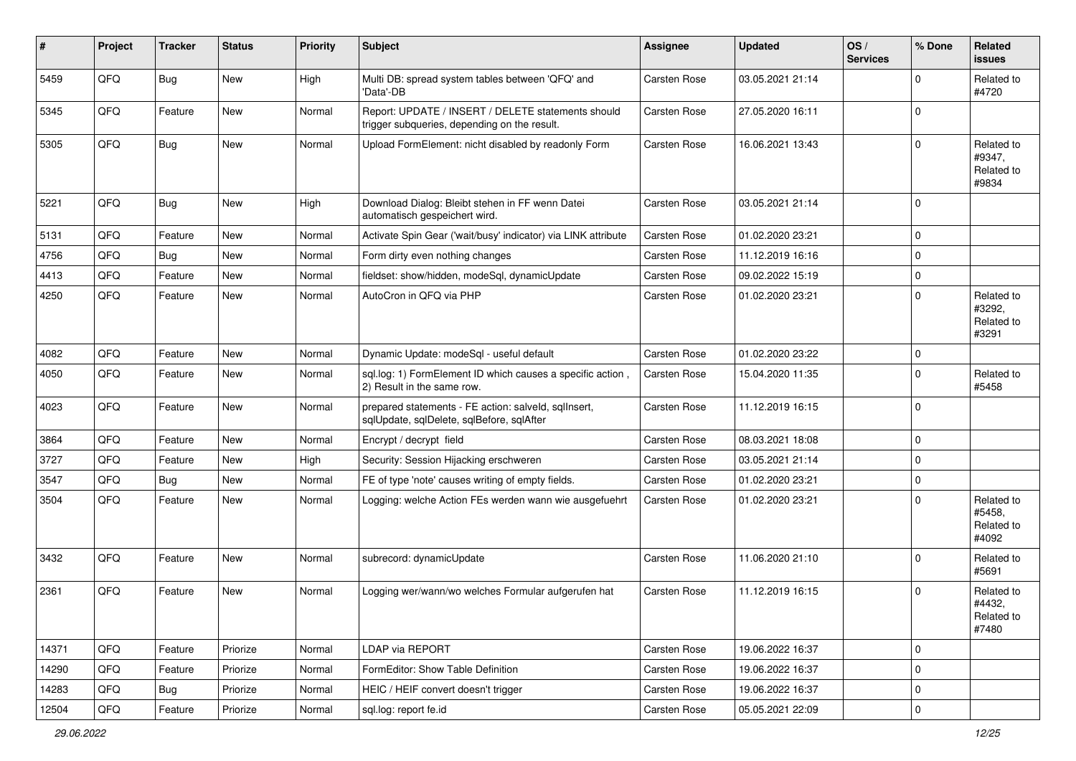| #     | Project | <b>Tracker</b> | <b>Status</b> | <b>Priority</b> | <b>Subject</b>                                                                                     | <b>Assignee</b>     | <b>Updated</b>   | OS/<br><b>Services</b> | % Done   | <b>Related</b><br><b>issues</b>             |
|-------|---------|----------------|---------------|-----------------|----------------------------------------------------------------------------------------------------|---------------------|------------------|------------------------|----------|---------------------------------------------|
| 5459  | QFQ     | <b>Bug</b>     | <b>New</b>    | High            | Multi DB: spread system tables between 'QFQ' and<br>'Data'-DB                                      | Carsten Rose        | 03.05.2021 21:14 |                        | $\Omega$ | Related to<br>#4720                         |
| 5345  | QFQ     | Feature        | New           | Normal          | Report: UPDATE / INSERT / DELETE statements should<br>trigger subqueries, depending on the result. | <b>Carsten Rose</b> | 27.05.2020 16:11 |                        | $\Omega$ |                                             |
| 5305  | QFQ     | Bug            | New           | Normal          | Upload FormElement: nicht disabled by readonly Form                                                | Carsten Rose        | 16.06.2021 13:43 |                        | $\Omega$ | Related to<br>#9347,<br>Related to<br>#9834 |
| 5221  | QFQ     | Bug            | New           | High            | Download Dialog: Bleibt stehen in FF wenn Datei<br>automatisch gespeichert wird.                   | <b>Carsten Rose</b> | 03.05.2021 21:14 |                        | $\Omega$ |                                             |
| 5131  | QFQ     | Feature        | <b>New</b>    | Normal          | Activate Spin Gear ('wait/busy' indicator) via LINK attribute                                      | Carsten Rose        | 01.02.2020 23:21 |                        | $\Omega$ |                                             |
| 4756  | QFQ     | Bug            | <b>New</b>    | Normal          | Form dirty even nothing changes                                                                    | Carsten Rose        | 11.12.2019 16:16 |                        | $\Omega$ |                                             |
| 4413  | QFQ     | Feature        | New           | Normal          | fieldset: show/hidden, modeSql, dynamicUpdate                                                      | Carsten Rose        | 09.02.2022 15:19 |                        | $\Omega$ |                                             |
| 4250  | QFQ     | Feature        | New           | Normal          | AutoCron in QFQ via PHP                                                                            | Carsten Rose        | 01.02.2020 23:21 |                        | $\Omega$ | Related to<br>#3292,<br>Related to<br>#3291 |
| 4082  | QFQ     | Feature        | <b>New</b>    | Normal          | Dynamic Update: modeSql - useful default                                                           | <b>Carsten Rose</b> | 01.02.2020 23:22 |                        | $\Omega$ |                                             |
| 4050  | QFQ     | Feature        | New           | Normal          | sql.log: 1) FormElement ID which causes a specific action<br>2) Result in the same row.            | Carsten Rose        | 15.04.2020 11:35 |                        | $\Omega$ | Related to<br>#5458                         |
| 4023  | QFQ     | Feature        | New           | Normal          | prepared statements - FE action: salveld, sqllnsert,<br>sqlUpdate, sqlDelete, sqlBefore, sqlAfter  | Carsten Rose        | 11.12.2019 16:15 |                        | $\Omega$ |                                             |
| 3864  | QFQ     | Feature        | <b>New</b>    | Normal          | Encrypt / decrypt field                                                                            | <b>Carsten Rose</b> | 08.03.2021 18:08 |                        | $\Omega$ |                                             |
| 3727  | QFQ     | Feature        | New           | High            | Security: Session Hijacking erschweren                                                             | <b>Carsten Rose</b> | 03.05.2021 21:14 |                        | $\Omega$ |                                             |
| 3547  | QFQ     | Bug            | New           | Normal          | FE of type 'note' causes writing of empty fields.                                                  | Carsten Rose        | 01.02.2020 23:21 |                        | $\Omega$ |                                             |
| 3504  | QFQ     | Feature        | New           | Normal          | Logging: welche Action FEs werden wann wie ausgefuehrt                                             | Carsten Rose        | 01.02.2020 23:21 |                        | $\Omega$ | Related to<br>#5458,<br>Related to<br>#4092 |
| 3432  | QFQ     | Feature        | New           | Normal          | subrecord: dynamicUpdate                                                                           | Carsten Rose        | 11.06.2020 21:10 |                        | $\Omega$ | Related to<br>#5691                         |
| 2361  | QFQ     | Feature        | New           | Normal          | Logging wer/wann/wo welches Formular aufgerufen hat                                                | <b>Carsten Rose</b> | 11.12.2019 16:15 |                        | $\Omega$ | Related to<br>#4432,<br>Related to<br>#7480 |
| 14371 | QFQ     | Feature        | Priorize      | Normal          | LDAP via REPORT                                                                                    | Carsten Rose        | 19.06.2022 16:37 |                        | 0        |                                             |
| 14290 | QFQ     | Feature        | Priorize      | Normal          | FormEditor: Show Table Definition                                                                  | Carsten Rose        | 19.06.2022 16:37 |                        | 0        |                                             |
| 14283 | QFQ     | <b>Bug</b>     | Priorize      | Normal          | HEIC / HEIF convert doesn't trigger                                                                | Carsten Rose        | 19.06.2022 16:37 |                        | 0        |                                             |
| 12504 | QFQ     | Feature        | Priorize      | Normal          | sql.log: report fe.id                                                                              | Carsten Rose        | 05.05.2021 22:09 |                        | 0        |                                             |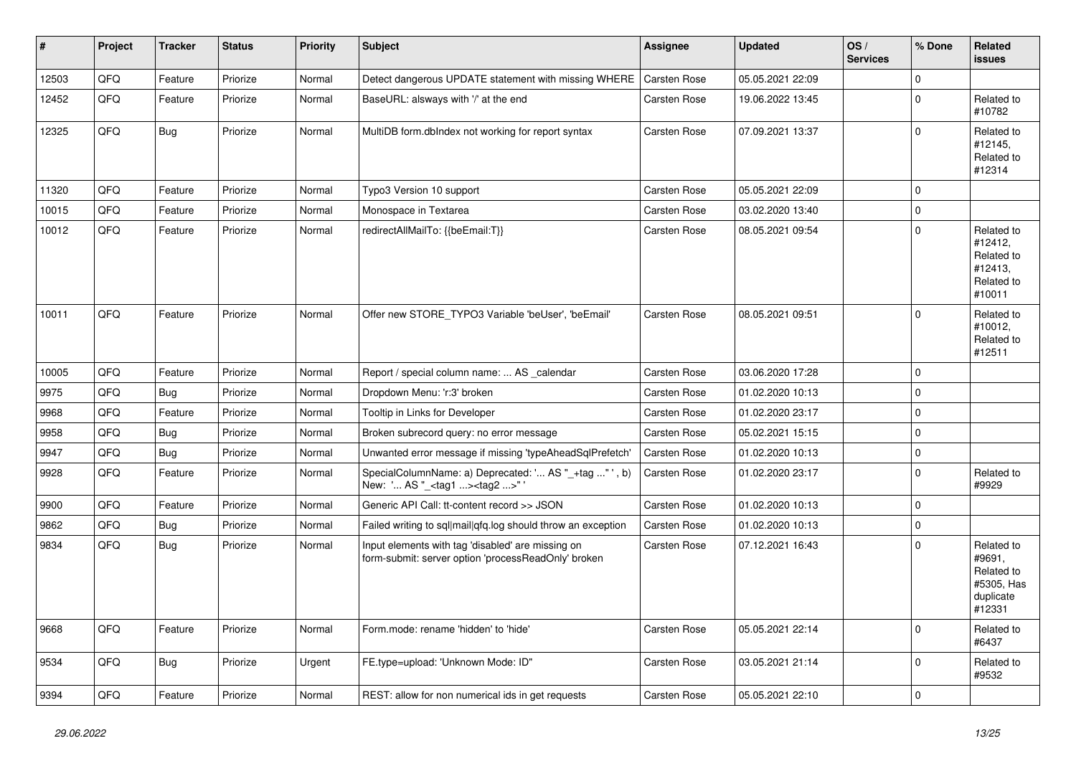| $\vert$ # | Project | <b>Tracker</b> | <b>Status</b> | <b>Priority</b> | <b>Subject</b>                                                                                           | Assignee            | <b>Updated</b>   | OS/<br><b>Services</b> | % Done      | Related<br><b>issues</b>                                                |
|-----------|---------|----------------|---------------|-----------------|----------------------------------------------------------------------------------------------------------|---------------------|------------------|------------------------|-------------|-------------------------------------------------------------------------|
| 12503     | QFQ     | Feature        | Priorize      | Normal          | Detect dangerous UPDATE statement with missing WHERE                                                     | <b>Carsten Rose</b> | 05.05.2021 22:09 |                        | $\mathbf 0$ |                                                                         |
| 12452     | QFQ     | Feature        | Priorize      | Normal          | BaseURL: alsways with '/' at the end                                                                     | <b>Carsten Rose</b> | 19.06.2022 13:45 |                        | $\mathbf 0$ | Related to<br>#10782                                                    |
| 12325     | QFQ     | Bug            | Priorize      | Normal          | MultiDB form.dblndex not working for report syntax                                                       | Carsten Rose        | 07.09.2021 13:37 |                        | $\Omega$    | Related to<br>#12145,<br>Related to<br>#12314                           |
| 11320     | QFQ     | Feature        | Priorize      | Normal          | Typo3 Version 10 support                                                                                 | Carsten Rose        | 05.05.2021 22:09 |                        | $\Omega$    |                                                                         |
| 10015     | QFQ     | Feature        | Priorize      | Normal          | Monospace in Textarea                                                                                    | <b>Carsten Rose</b> | 03.02.2020 13:40 |                        | 0           |                                                                         |
| 10012     | QFQ     | Feature        | Priorize      | Normal          | redirectAllMailTo: {{beEmail:T}}                                                                         | <b>Carsten Rose</b> | 08.05.2021 09:54 |                        | $\Omega$    | Related to<br>#12412,<br>Related to<br>#12413,<br>Related to<br>#10011  |
| 10011     | QFQ     | Feature        | Priorize      | Normal          | Offer new STORE_TYPO3 Variable 'beUser', 'beEmail'                                                       | Carsten Rose        | 08.05.2021 09:51 |                        | $\Omega$    | Related to<br>#10012,<br>Related to<br>#12511                           |
| 10005     | QFQ     | Feature        | Priorize      | Normal          | Report / special column name:  AS calendar                                                               | <b>Carsten Rose</b> | 03.06.2020 17:28 |                        | $\Omega$    |                                                                         |
| 9975      | QFQ     | Bug            | Priorize      | Normal          | Dropdown Menu: 'r:3' broken                                                                              | Carsten Rose        | 01.02.2020 10:13 |                        | $\mathbf 0$ |                                                                         |
| 9968      | QFQ     | Feature        | Priorize      | Normal          | Tooltip in Links for Developer                                                                           | Carsten Rose        | 01.02.2020 23:17 |                        | $\Omega$    |                                                                         |
| 9958      | QFQ     | <b>Bug</b>     | Priorize      | Normal          | Broken subrecord query: no error message                                                                 | Carsten Rose        | 05.02.2021 15:15 |                        | 0           |                                                                         |
| 9947      | QFQ     | <b>Bug</b>     | Priorize      | Normal          | Unwanted error message if missing 'typeAheadSqlPrefetch'                                                 | <b>Carsten Rose</b> | 01.02.2020 10:13 |                        | $\Omega$    |                                                                         |
| 9928      | QFQ     | Feature        | Priorize      | Normal          | SpecialColumnName: a) Deprecated: ' AS "_+tag " ', b)<br>New: ' AS "_ <tag1><tag2>"</tag2></tag1>        | Carsten Rose        | 01.02.2020 23:17 |                        | $\mathbf 0$ | Related to<br>#9929                                                     |
| 9900      | QFQ     | Feature        | Priorize      | Normal          | Generic API Call: tt-content record >> JSON                                                              | <b>Carsten Rose</b> | 01.02.2020 10:13 |                        | $\Omega$    |                                                                         |
| 9862      | QFQ     | <b>Bug</b>     | Priorize      | Normal          | Failed writing to sql mail qfq.log should throw an exception                                             | <b>Carsten Rose</b> | 01.02.2020 10:13 |                        | $\Omega$    |                                                                         |
| 9834      | QFQ     | Bug            | Priorize      | Normal          | Input elements with tag 'disabled' are missing on<br>form-submit: server option 'processReadOnly' broken | <b>Carsten Rose</b> | 07.12.2021 16:43 |                        | $\Omega$    | Related to<br>#9691,<br>Related to<br>#5305, Has<br>duplicate<br>#12331 |
| 9668      | QFQ     | Feature        | Priorize      | Normal          | Form.mode: rename 'hidden' to 'hide'                                                                     | Carsten Rose        | 05.05.2021 22:14 |                        | $\Omega$    | Related to<br>#6437                                                     |
| 9534      | QFQ     | Bug            | Priorize      | Urgent          | FE.type=upload: 'Unknown Mode: ID"                                                                       | Carsten Rose        | 03.05.2021 21:14 |                        | $\Omega$    | Related to<br>#9532                                                     |
| 9394      | QFQ     | Feature        | Priorize      | Normal          | REST: allow for non numerical ids in get requests                                                        | Carsten Rose        | 05.05.2021 22:10 |                        | $\Omega$    |                                                                         |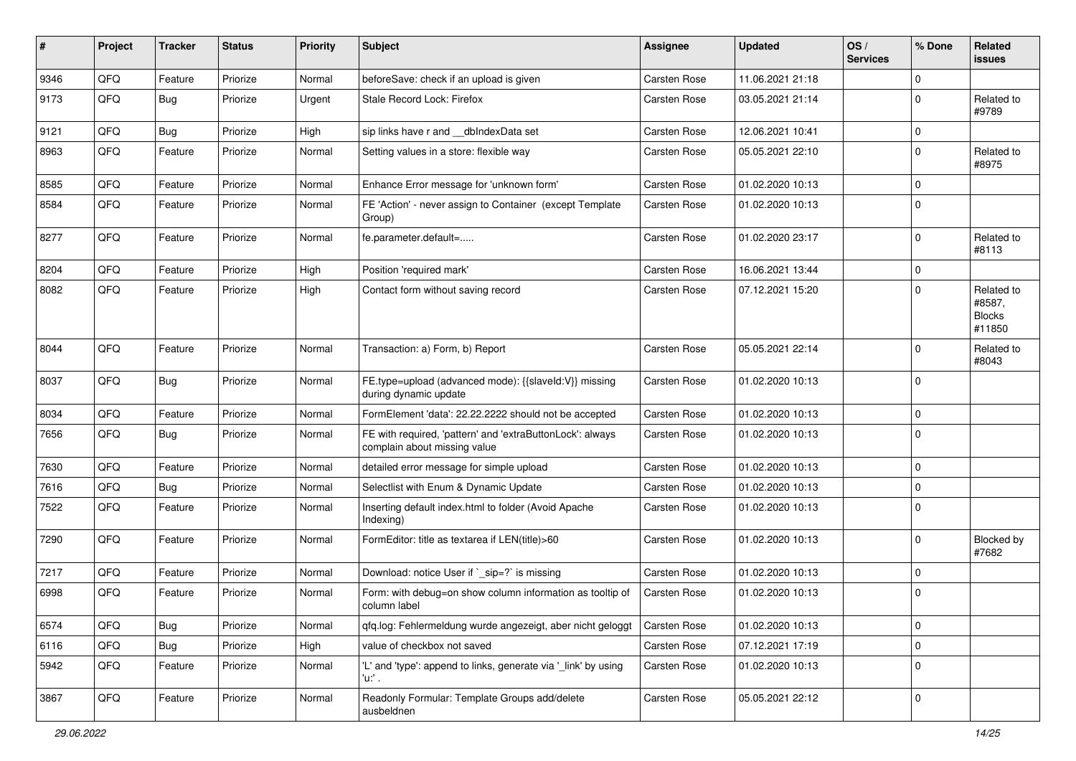| ∦    | Project | <b>Tracker</b> | <b>Status</b> | <b>Priority</b> | <b>Subject</b>                                                                            | <b>Assignee</b> | <b>Updated</b>   | OS/<br><b>Services</b> | % Done      | Related<br><b>issues</b>                        |
|------|---------|----------------|---------------|-----------------|-------------------------------------------------------------------------------------------|-----------------|------------------|------------------------|-------------|-------------------------------------------------|
| 9346 | QFQ     | Feature        | Priorize      | Normal          | beforeSave: check if an upload is given                                                   | Carsten Rose    | 11.06.2021 21:18 |                        | $\mathbf 0$ |                                                 |
| 9173 | QFQ     | <b>Bug</b>     | Priorize      | Urgent          | Stale Record Lock: Firefox                                                                | Carsten Rose    | 03.05.2021 21:14 |                        | $\mathbf 0$ | Related to<br>#9789                             |
| 9121 | QFQ     | <b>Bug</b>     | Priorize      | High            | sip links have r and __dbIndexData set                                                    | Carsten Rose    | 12.06.2021 10:41 |                        | $\mathbf 0$ |                                                 |
| 8963 | QFQ     | Feature        | Priorize      | Normal          | Setting values in a store: flexible way                                                   | Carsten Rose    | 05.05.2021 22:10 |                        | $\Omega$    | Related to<br>#8975                             |
| 8585 | QFQ     | Feature        | Priorize      | Normal          | Enhance Error message for 'unknown form'                                                  | Carsten Rose    | 01.02.2020 10:13 |                        | $\mathbf 0$ |                                                 |
| 8584 | QFQ     | Feature        | Priorize      | Normal          | FE 'Action' - never assign to Container (except Template<br>Group)                        | Carsten Rose    | 01.02.2020 10:13 |                        | $\Omega$    |                                                 |
| 8277 | QFQ     | Feature        | Priorize      | Normal          | fe.parameter.default=                                                                     | Carsten Rose    | 01.02.2020 23:17 |                        | $\mathbf 0$ | Related to<br>#8113                             |
| 8204 | QFQ     | Feature        | Priorize      | High            | Position 'required mark'                                                                  | Carsten Rose    | 16.06.2021 13:44 |                        | $\mathbf 0$ |                                                 |
| 8082 | QFQ     | Feature        | Priorize      | High            | Contact form without saving record                                                        | Carsten Rose    | 07.12.2021 15:20 |                        | $\Omega$    | Related to<br>#8587,<br><b>Blocks</b><br>#11850 |
| 8044 | QFQ     | Feature        | Priorize      | Normal          | Transaction: a) Form, b) Report                                                           | Carsten Rose    | 05.05.2021 22:14 |                        | $\mathbf 0$ | Related to<br>#8043                             |
| 8037 | QFQ     | Bug            | Priorize      | Normal          | FE.type=upload (advanced mode): {{slaveld:V}} missing<br>during dynamic update            | Carsten Rose    | 01.02.2020 10:13 |                        | $\Omega$    |                                                 |
| 8034 | QFQ     | Feature        | Priorize      | Normal          | FormElement 'data': 22.22.2222 should not be accepted                                     | Carsten Rose    | 01.02.2020 10:13 |                        | $\mathbf 0$ |                                                 |
| 7656 | QFQ     | Bug            | Priorize      | Normal          | FE with required, 'pattern' and 'extraButtonLock': always<br>complain about missing value | Carsten Rose    | 01.02.2020 10:13 |                        | $\Omega$    |                                                 |
| 7630 | QFQ     | Feature        | Priorize      | Normal          | detailed error message for simple upload                                                  | Carsten Rose    | 01.02.2020 10:13 |                        | $\mathbf 0$ |                                                 |
| 7616 | QFQ     | <b>Bug</b>     | Priorize      | Normal          | Selectlist with Enum & Dynamic Update                                                     | Carsten Rose    | 01.02.2020 10:13 |                        | $\mathbf 0$ |                                                 |
| 7522 | QFQ     | Feature        | Priorize      | Normal          | Inserting default index.html to folder (Avoid Apache<br>Indexing)                         | Carsten Rose    | 01.02.2020 10:13 |                        | $\mathbf 0$ |                                                 |
| 7290 | QFQ     | Feature        | Priorize      | Normal          | FormEditor: title as textarea if LEN(title)>60                                            | Carsten Rose    | 01.02.2020 10:13 |                        | $\mathbf 0$ | <b>Blocked by</b><br>#7682                      |
| 7217 | QFQ     | Feature        | Priorize      | Normal          | Download: notice User if `_sip=?` is missing                                              | Carsten Rose    | 01.02.2020 10:13 |                        | $\mathbf 0$ |                                                 |
| 6998 | QFQ     | Feature        | Priorize      | Normal          | Form: with debug=on show column information as tooltip of<br>column label                 | Carsten Rose    | 01.02.2020 10:13 |                        | $\Omega$    |                                                 |
| 6574 | QFQ     | <b>Bug</b>     | Priorize      | Normal          | qfq.log: Fehlermeldung wurde angezeigt, aber nicht geloggt                                | Carsten Rose    | 01.02.2020 10:13 |                        | $\pmb{0}$   |                                                 |
| 6116 | QFQ     | <b>Bug</b>     | Priorize      | High            | value of checkbox not saved                                                               | Carsten Rose    | 07.12.2021 17:19 |                        | $\pmb{0}$   |                                                 |
| 5942 | QFQ     | Feature        | Priorize      | Normal          | 'L' and 'type': append to links, generate via ' link' by using<br>'u:' .                  | Carsten Rose    | 01.02.2020 10:13 |                        | $\mathbf 0$ |                                                 |
| 3867 | QFQ     | Feature        | Priorize      | Normal          | Readonly Formular: Template Groups add/delete<br>ausbeldnen                               | Carsten Rose    | 05.05.2021 22:12 |                        | $\mathbf 0$ |                                                 |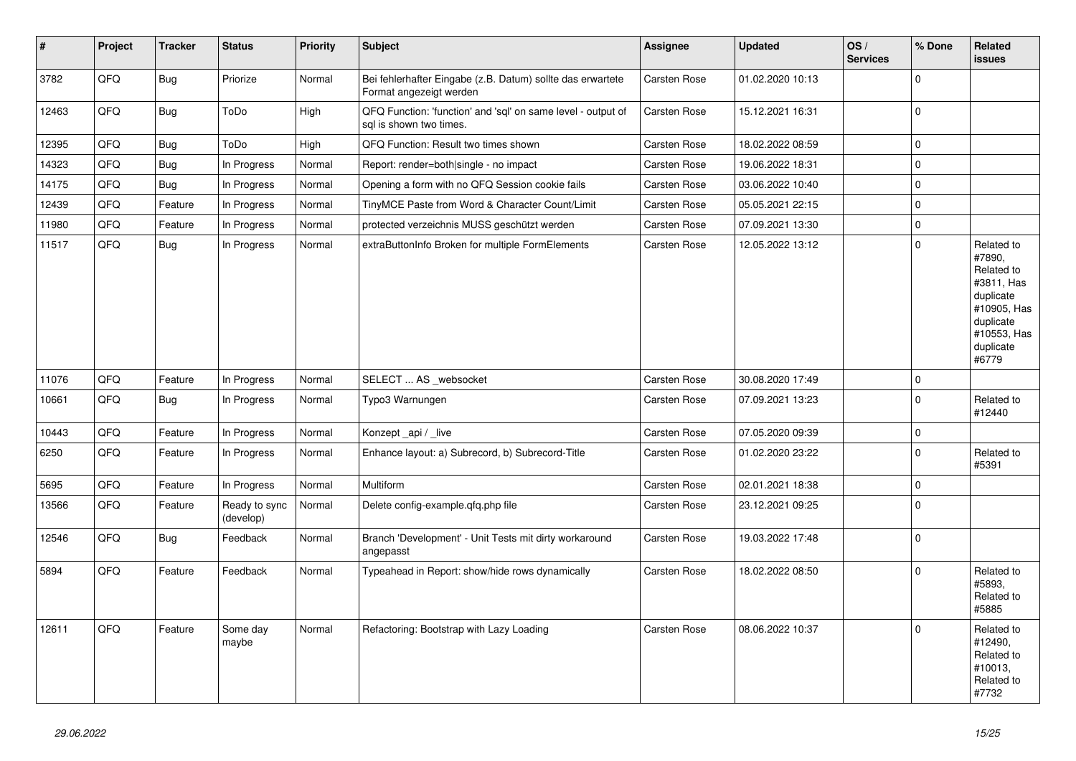| #     | Project | <b>Tracker</b> | <b>Status</b>              | <b>Priority</b> | <b>Subject</b>                                                                          | Assignee            | <b>Updated</b>   | OS/<br><b>Services</b> | % Done      | Related<br><b>issues</b>                                                                                                       |
|-------|---------|----------------|----------------------------|-----------------|-----------------------------------------------------------------------------------------|---------------------|------------------|------------------------|-------------|--------------------------------------------------------------------------------------------------------------------------------|
| 3782  | QFQ     | <b>Bug</b>     | Priorize                   | Normal          | Bei fehlerhafter Eingabe (z.B. Datum) sollte das erwartete<br>Format angezeigt werden   | <b>Carsten Rose</b> | 01.02.2020 10:13 |                        | $\mathbf 0$ |                                                                                                                                |
| 12463 | QFQ     | <b>Bug</b>     | ToDo                       | High            | QFQ Function: 'function' and 'sql' on same level - output of<br>sal is shown two times. | <b>Carsten Rose</b> | 15.12.2021 16:31 |                        | $\mathbf 0$ |                                                                                                                                |
| 12395 | QFQ     | <b>Bug</b>     | ToDo                       | High            | QFQ Function: Result two times shown                                                    | Carsten Rose        | 18.02.2022 08:59 |                        | $\pmb{0}$   |                                                                                                                                |
| 14323 | QFQ     | <b>Bug</b>     | In Progress                | Normal          | Report: render=both single - no impact                                                  | Carsten Rose        | 19.06.2022 18:31 |                        | $\pmb{0}$   |                                                                                                                                |
| 14175 | QFQ     | <b>Bug</b>     | In Progress                | Normal          | Opening a form with no QFQ Session cookie fails                                         | <b>Carsten Rose</b> | 03.06.2022 10:40 |                        | $\mathbf 0$ |                                                                                                                                |
| 12439 | QFQ     | Feature        | In Progress                | Normal          | TinyMCE Paste from Word & Character Count/Limit                                         | Carsten Rose        | 05.05.2021 22:15 |                        | $\mathbf 0$ |                                                                                                                                |
| 11980 | QFQ     | Feature        | In Progress                | Normal          | protected verzeichnis MUSS geschützt werden                                             | Carsten Rose        | 07.09.2021 13:30 |                        | $\mathbf 0$ |                                                                                                                                |
| 11517 | QFQ     | <b>Bug</b>     | In Progress                | Normal          | extraButtonInfo Broken for multiple FormElements                                        | Carsten Rose        | 12.05.2022 13:12 |                        | $\mathbf 0$ | Related to<br>#7890,<br>Related to<br>#3811, Has<br>duplicate<br>#10905, Has<br>duplicate<br>#10553, Has<br>duplicate<br>#6779 |
| 11076 | QFQ     | Feature        | In Progress                | Normal          | SELECT  AS _websocket                                                                   | <b>Carsten Rose</b> | 30.08.2020 17:49 |                        | $\mathbf 0$ |                                                                                                                                |
| 10661 | QFQ     | Bug            | In Progress                | Normal          | Typo3 Warnungen                                                                         | <b>Carsten Rose</b> | 07.09.2021 13:23 |                        | $\mathbf 0$ | Related to<br>#12440                                                                                                           |
| 10443 | QFQ     | Feature        | In Progress                | Normal          | Konzept_api / _live                                                                     | <b>Carsten Rose</b> | 07.05.2020 09:39 |                        | $\pmb{0}$   |                                                                                                                                |
| 6250  | QFQ     | Feature        | In Progress                | Normal          | Enhance layout: a) Subrecord, b) Subrecord-Title                                        | Carsten Rose        | 01.02.2020 23:22 |                        | $\mathbf 0$ | Related to<br>#5391                                                                                                            |
| 5695  | QFQ     | Feature        | In Progress                | Normal          | Multiform                                                                               | Carsten Rose        | 02.01.2021 18:38 |                        | $\pmb{0}$   |                                                                                                                                |
| 13566 | QFQ     | Feature        | Ready to sync<br>(develop) | Normal          | Delete config-example.qfq.php file                                                      | Carsten Rose        | 23.12.2021 09:25 |                        | $\mathbf 0$ |                                                                                                                                |
| 12546 | QFQ     | <b>Bug</b>     | Feedback                   | Normal          | Branch 'Development' - Unit Tests mit dirty workaround<br>angepasst                     | Carsten Rose        | 19.03.2022 17:48 |                        | $\mathbf 0$ |                                                                                                                                |
| 5894  | QFQ     | Feature        | Feedback                   | Normal          | Typeahead in Report: show/hide rows dynamically                                         | Carsten Rose        | 18.02.2022 08:50 |                        | $\mathbf 0$ | Related to<br>#5893.<br>Related to<br>#5885                                                                                    |
| 12611 | QFQ     | Feature        | Some day<br>maybe          | Normal          | Refactoring: Bootstrap with Lazy Loading                                                | <b>Carsten Rose</b> | 08.06.2022 10:37 |                        | $\mathbf 0$ | Related to<br>#12490,<br>Related to<br>#10013,<br>Related to<br>#7732                                                          |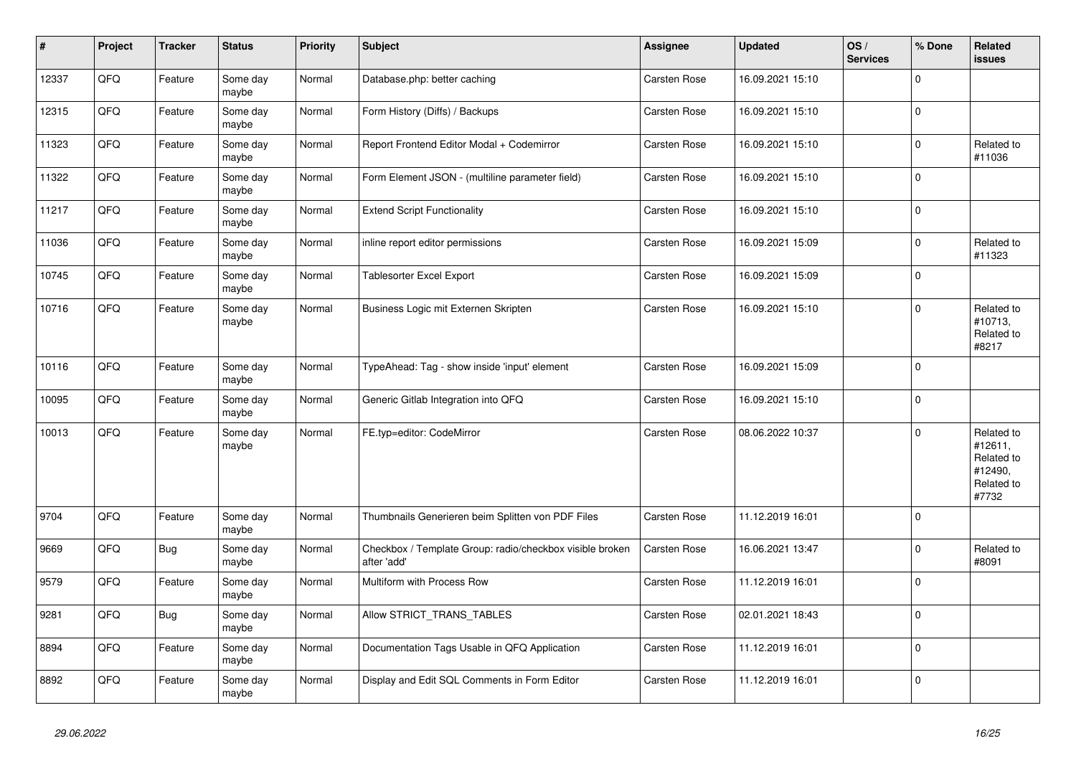| $\vert$ # | <b>Project</b> | <b>Tracker</b> | <b>Status</b>     | <b>Priority</b> | <b>Subject</b>                                                          | Assignee     | <b>Updated</b>   | OS/<br><b>Services</b> | % Done      | Related<br><b>issues</b>                                              |
|-----------|----------------|----------------|-------------------|-----------------|-------------------------------------------------------------------------|--------------|------------------|------------------------|-------------|-----------------------------------------------------------------------|
| 12337     | QFQ            | Feature        | Some day<br>maybe | Normal          | Database.php: better caching                                            | Carsten Rose | 16.09.2021 15:10 |                        | $\Omega$    |                                                                       |
| 12315     | QFQ            | Feature        | Some day<br>maybe | Normal          | Form History (Diffs) / Backups                                          | Carsten Rose | 16.09.2021 15:10 |                        | $\mathbf 0$ |                                                                       |
| 11323     | QFQ            | Feature        | Some day<br>maybe | Normal          | Report Frontend Editor Modal + Codemirror                               | Carsten Rose | 16.09.2021 15:10 |                        | $\mathbf 0$ | Related to<br>#11036                                                  |
| 11322     | QFQ            | Feature        | Some day<br>maybe | Normal          | Form Element JSON - (multiline parameter field)                         | Carsten Rose | 16.09.2021 15:10 |                        | $\Omega$    |                                                                       |
| 11217     | QFQ            | Feature        | Some day<br>maybe | Normal          | <b>Extend Script Functionality</b>                                      | Carsten Rose | 16.09.2021 15:10 |                        | $\mathbf 0$ |                                                                       |
| 11036     | QFQ            | Feature        | Some day<br>maybe | Normal          | inline report editor permissions                                        | Carsten Rose | 16.09.2021 15:09 |                        | $\pmb{0}$   | Related to<br>#11323                                                  |
| 10745     | QFQ            | Feature        | Some day<br>maybe | Normal          | <b>Tablesorter Excel Export</b>                                         | Carsten Rose | 16.09.2021 15:09 |                        | $\mathbf 0$ |                                                                       |
| 10716     | QFQ            | Feature        | Some day<br>maybe | Normal          | Business Logic mit Externen Skripten                                    | Carsten Rose | 16.09.2021 15:10 |                        | $\Omega$    | Related to<br>#10713,<br>Related to<br>#8217                          |
| 10116     | QFQ            | Feature        | Some day<br>maybe | Normal          | TypeAhead: Tag - show inside 'input' element                            | Carsten Rose | 16.09.2021 15:09 |                        | $\Omega$    |                                                                       |
| 10095     | QFQ            | Feature        | Some day<br>maybe | Normal          | Generic Gitlab Integration into QFQ                                     | Carsten Rose | 16.09.2021 15:10 |                        | $\Omega$    |                                                                       |
| 10013     | QFQ            | Feature        | Some day<br>maybe | Normal          | FE.typ=editor: CodeMirror                                               | Carsten Rose | 08.06.2022 10:37 |                        | $\mathbf 0$ | Related to<br>#12611,<br>Related to<br>#12490,<br>Related to<br>#7732 |
| 9704      | QFQ            | Feature        | Some day<br>maybe | Normal          | Thumbnails Generieren beim Splitten von PDF Files                       | Carsten Rose | 11.12.2019 16:01 |                        | $\mathbf 0$ |                                                                       |
| 9669      | QFQ            | <b>Bug</b>     | Some day<br>maybe | Normal          | Checkbox / Template Group: radio/checkbox visible broken<br>after 'add' | Carsten Rose | 16.06.2021 13:47 |                        | $\mathbf 0$ | Related to<br>#8091                                                   |
| 9579      | QFQ            | Feature        | Some day<br>maybe | Normal          | Multiform with Process Row                                              | Carsten Rose | 11.12.2019 16:01 |                        | $\Omega$    |                                                                       |
| 9281      | QFQ            | <b>Bug</b>     | Some day<br>maybe | Normal          | Allow STRICT_TRANS_TABLES                                               | Carsten Rose | 02.01.2021 18:43 |                        | $\mathbf 0$ |                                                                       |
| 8894      | QFQ            | Feature        | Some day<br>maybe | Normal          | Documentation Tags Usable in QFQ Application                            | Carsten Rose | 11.12.2019 16:01 |                        | $\Omega$    |                                                                       |
| 8892      | QFQ            | Feature        | Some day<br>maybe | Normal          | Display and Edit SQL Comments in Form Editor                            | Carsten Rose | 11.12.2019 16:01 |                        | $\mathbf 0$ |                                                                       |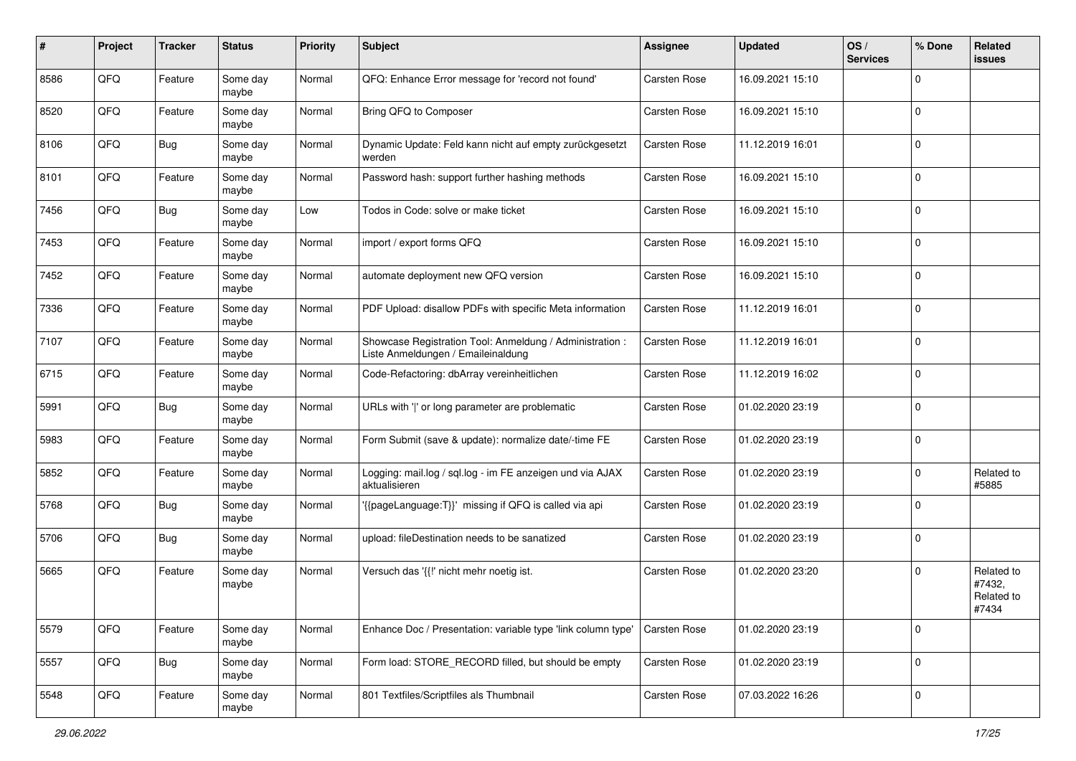| ∦    | Project | <b>Tracker</b> | <b>Status</b>     | <b>Priority</b> | <b>Subject</b>                                                                                 | <b>Assignee</b>     | <b>Updated</b>   | OS/<br><b>Services</b> | % Done      | Related<br>issues                           |
|------|---------|----------------|-------------------|-----------------|------------------------------------------------------------------------------------------------|---------------------|------------------|------------------------|-------------|---------------------------------------------|
| 8586 | QFQ     | Feature        | Some day<br>maybe | Normal          | QFQ: Enhance Error message for 'record not found'                                              | <b>Carsten Rose</b> | 16.09.2021 15:10 |                        | $\mathbf 0$ |                                             |
| 8520 | QFQ     | Feature        | Some day<br>maybe | Normal          | Bring QFQ to Composer                                                                          | Carsten Rose        | 16.09.2021 15:10 |                        | $\mathbf 0$ |                                             |
| 8106 | QFQ     | <b>Bug</b>     | Some day<br>maybe | Normal          | Dynamic Update: Feld kann nicht auf empty zurückgesetzt<br>werden                              | Carsten Rose        | 11.12.2019 16:01 |                        | $\mathbf 0$ |                                             |
| 8101 | QFQ     | Feature        | Some day<br>maybe | Normal          | Password hash: support further hashing methods                                                 | Carsten Rose        | 16.09.2021 15:10 |                        | $\mathbf 0$ |                                             |
| 7456 | QFQ     | <b>Bug</b>     | Some day<br>maybe | Low             | Todos in Code: solve or make ticket                                                            | Carsten Rose        | 16.09.2021 15:10 |                        | $\mathbf 0$ |                                             |
| 7453 | QFQ     | Feature        | Some day<br>maybe | Normal          | import / export forms QFQ                                                                      | Carsten Rose        | 16.09.2021 15:10 |                        | $\Omega$    |                                             |
| 7452 | QFQ     | Feature        | Some day<br>maybe | Normal          | automate deployment new QFQ version                                                            | Carsten Rose        | 16.09.2021 15:10 |                        | $\mathbf 0$ |                                             |
| 7336 | QFQ     | Feature        | Some day<br>maybe | Normal          | PDF Upload: disallow PDFs with specific Meta information                                       | Carsten Rose        | 11.12.2019 16:01 |                        | $\mathbf 0$ |                                             |
| 7107 | QFQ     | Feature        | Some day<br>maybe | Normal          | Showcase Registration Tool: Anmeldung / Administration :<br>Liste Anmeldungen / Emaileinaldung | Carsten Rose        | 11.12.2019 16:01 |                        | $\mathbf 0$ |                                             |
| 6715 | QFQ     | Feature        | Some day<br>maybe | Normal          | Code-Refactoring: dbArray vereinheitlichen                                                     | Carsten Rose        | 11.12.2019 16:02 |                        | $\mathbf 0$ |                                             |
| 5991 | QFQ     | Bug            | Some day<br>maybe | Normal          | URLs with ' ' or long parameter are problematic                                                | Carsten Rose        | 01.02.2020 23:19 |                        | $\mathbf 0$ |                                             |
| 5983 | QFQ     | Feature        | Some day<br>maybe | Normal          | Form Submit (save & update): normalize date/-time FE                                           | Carsten Rose        | 01.02.2020 23:19 |                        | $\mathbf 0$ |                                             |
| 5852 | QFQ     | Feature        | Some day<br>maybe | Normal          | Logging: mail.log / sql.log - im FE anzeigen und via AJAX<br>aktualisieren                     | Carsten Rose        | 01.02.2020 23:19 |                        | $\mathbf 0$ | Related to<br>#5885                         |
| 5768 | QFQ     | <b>Bug</b>     | Some day<br>maybe | Normal          | {{pageLanguage:T}}' missing if QFQ is called via api                                           | Carsten Rose        | 01.02.2020 23:19 |                        | $\mathbf 0$ |                                             |
| 5706 | QFQ     | <b>Bug</b>     | Some day<br>maybe | Normal          | upload: fileDestination needs to be sanatized                                                  | Carsten Rose        | 01.02.2020 23:19 |                        | $\mathbf 0$ |                                             |
| 5665 | QFQ     | Feature        | Some day<br>maybe | Normal          | Versuch das '{{!' nicht mehr noetig ist.                                                       | <b>Carsten Rose</b> | 01.02.2020 23:20 |                        | $\mathbf 0$ | Related to<br>#7432,<br>Related to<br>#7434 |
| 5579 | QFQ     | Feature        | Some day<br>maybe | Normal          | Enhance Doc / Presentation: variable type 'link column type'                                   | Carsten Rose        | 01.02.2020 23:19 |                        | $\mathbf 0$ |                                             |
| 5557 | QFQ     | Bug            | Some day<br>maybe | Normal          | Form load: STORE_RECORD filled, but should be empty                                            | Carsten Rose        | 01.02.2020 23:19 |                        | $\mathbf 0$ |                                             |
| 5548 | QFQ     | Feature        | Some day<br>maybe | Normal          | 801 Textfiles/Scriptfiles als Thumbnail                                                        | Carsten Rose        | 07.03.2022 16:26 |                        | $\pmb{0}$   |                                             |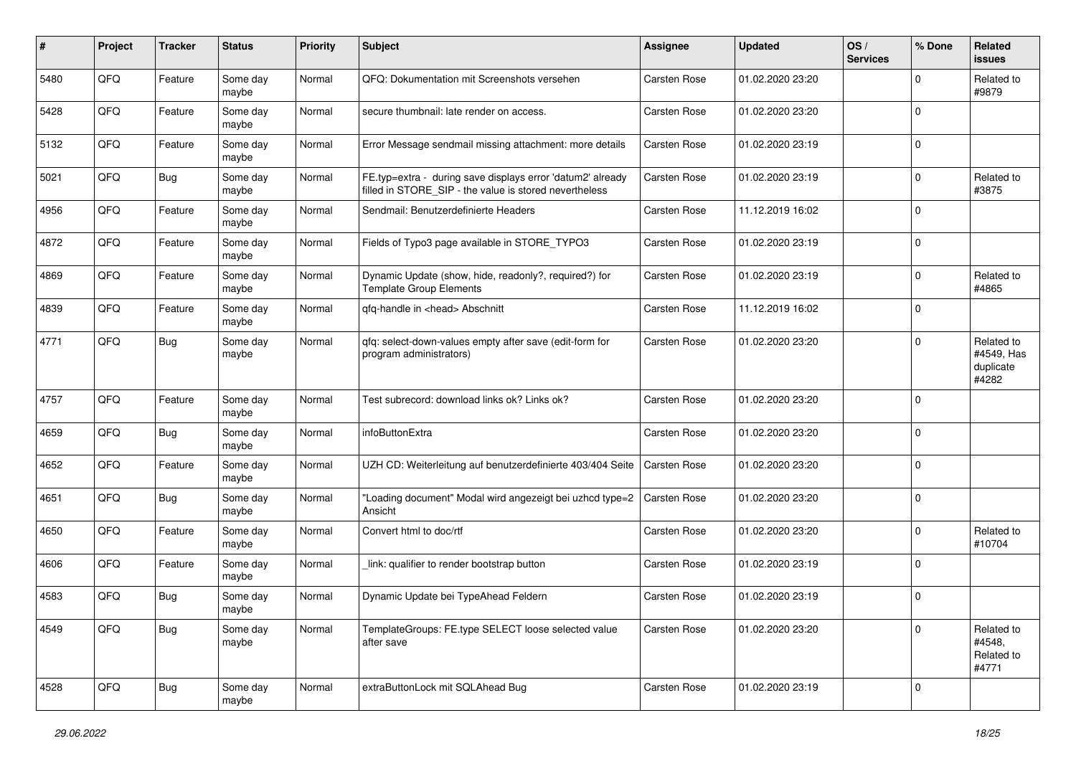| #    | Project | <b>Tracker</b> | <b>Status</b>     | <b>Priority</b> | <b>Subject</b>                                                                                                       | <b>Assignee</b>     | <b>Updated</b>   | OS/<br><b>Services</b> | % Done      | Related<br>issues                              |
|------|---------|----------------|-------------------|-----------------|----------------------------------------------------------------------------------------------------------------------|---------------------|------------------|------------------------|-------------|------------------------------------------------|
| 5480 | QFQ     | Feature        | Some day<br>maybe | Normal          | QFQ: Dokumentation mit Screenshots versehen                                                                          | <b>Carsten Rose</b> | 01.02.2020 23:20 |                        | $\mathbf 0$ | Related to<br>#9879                            |
| 5428 | QFQ     | Feature        | Some day<br>maybe | Normal          | secure thumbnail: late render on access.                                                                             | <b>Carsten Rose</b> | 01.02.2020 23:20 |                        | $\mathbf 0$ |                                                |
| 5132 | QFQ     | Feature        | Some day<br>maybe | Normal          | Error Message sendmail missing attachment: more details                                                              | <b>Carsten Rose</b> | 01.02.2020 23:19 |                        | $\mathbf 0$ |                                                |
| 5021 | QFQ     | Bug            | Some day<br>maybe | Normal          | FE.typ=extra - during save displays error 'datum2' already<br>filled in STORE_SIP - the value is stored nevertheless | Carsten Rose        | 01.02.2020 23:19 |                        | 0           | Related to<br>#3875                            |
| 4956 | QFQ     | Feature        | Some day<br>maybe | Normal          | Sendmail: Benutzerdefinierte Headers                                                                                 | <b>Carsten Rose</b> | 11.12.2019 16:02 |                        | $\mathbf 0$ |                                                |
| 4872 | QFQ     | Feature        | Some day<br>maybe | Normal          | Fields of Typo3 page available in STORE_TYPO3                                                                        | Carsten Rose        | 01.02.2020 23:19 |                        | $\Omega$    |                                                |
| 4869 | QFQ     | Feature        | Some day<br>maybe | Normal          | Dynamic Update (show, hide, readonly?, required?) for<br><b>Template Group Elements</b>                              | <b>Carsten Rose</b> | 01.02.2020 23:19 |                        | $\mathbf 0$ | Related to<br>#4865                            |
| 4839 | QFQ     | Feature        | Some day<br>maybe | Normal          | qfq-handle in <head> Abschnitt</head>                                                                                | <b>Carsten Rose</b> | 11.12.2019 16:02 |                        | $\mathbf 0$ |                                                |
| 4771 | QFQ     | Bug            | Some day<br>maybe | Normal          | qfq: select-down-values empty after save (edit-form for<br>program administrators)                                   | <b>Carsten Rose</b> | 01.02.2020 23:20 |                        | $\Omega$    | Related to<br>#4549, Has<br>duplicate<br>#4282 |
| 4757 | QFQ     | Feature        | Some day<br>maybe | Normal          | Test subrecord: download links ok? Links ok?                                                                         | <b>Carsten Rose</b> | 01.02.2020 23:20 |                        | $\mathbf 0$ |                                                |
| 4659 | QFQ     | Bug            | Some day<br>maybe | Normal          | infoButtonExtra                                                                                                      | <b>Carsten Rose</b> | 01.02.2020 23:20 |                        | $\mathbf 0$ |                                                |
| 4652 | QFQ     | Feature        | Some day<br>maybe | Normal          | UZH CD: Weiterleitung auf benutzerdefinierte 403/404 Seite                                                           | <b>Carsten Rose</b> | 01.02.2020 23:20 |                        | $\mathbf 0$ |                                                |
| 4651 | QFQ     | <b>Bug</b>     | Some day<br>maybe | Normal          | "Loading document" Modal wird angezeigt bei uzhcd type=2<br>Ansicht                                                  | Carsten Rose        | 01.02.2020 23:20 |                        | $\Omega$    |                                                |
| 4650 | QFQ     | Feature        | Some day<br>maybe | Normal          | Convert html to doc/rtf                                                                                              | Carsten Rose        | 01.02.2020 23:20 |                        | $\mathbf 0$ | Related to<br>#10704                           |
| 4606 | QFQ     | Feature        | Some day<br>maybe | Normal          | link: qualifier to render bootstrap button                                                                           | Carsten Rose        | 01.02.2020 23:19 |                        | $\mathbf 0$ |                                                |
| 4583 | QFQ     | Bug            | Some day<br>maybe | Normal          | Dynamic Update bei TypeAhead Feldern                                                                                 | Carsten Rose        | 01.02.2020 23:19 |                        | $\mathbf 0$ |                                                |
| 4549 | QFQ     | Bug            | Some day<br>maybe | Normal          | TemplateGroups: FE.type SELECT loose selected value<br>after save                                                    | Carsten Rose        | 01.02.2020 23:20 |                        | 0           | Related to<br>#4548,<br>Related to<br>#4771    |
| 4528 | QFQ     | <b>Bug</b>     | Some day<br>maybe | Normal          | extraButtonLock mit SQLAhead Bug                                                                                     | Carsten Rose        | 01.02.2020 23:19 |                        | 0           |                                                |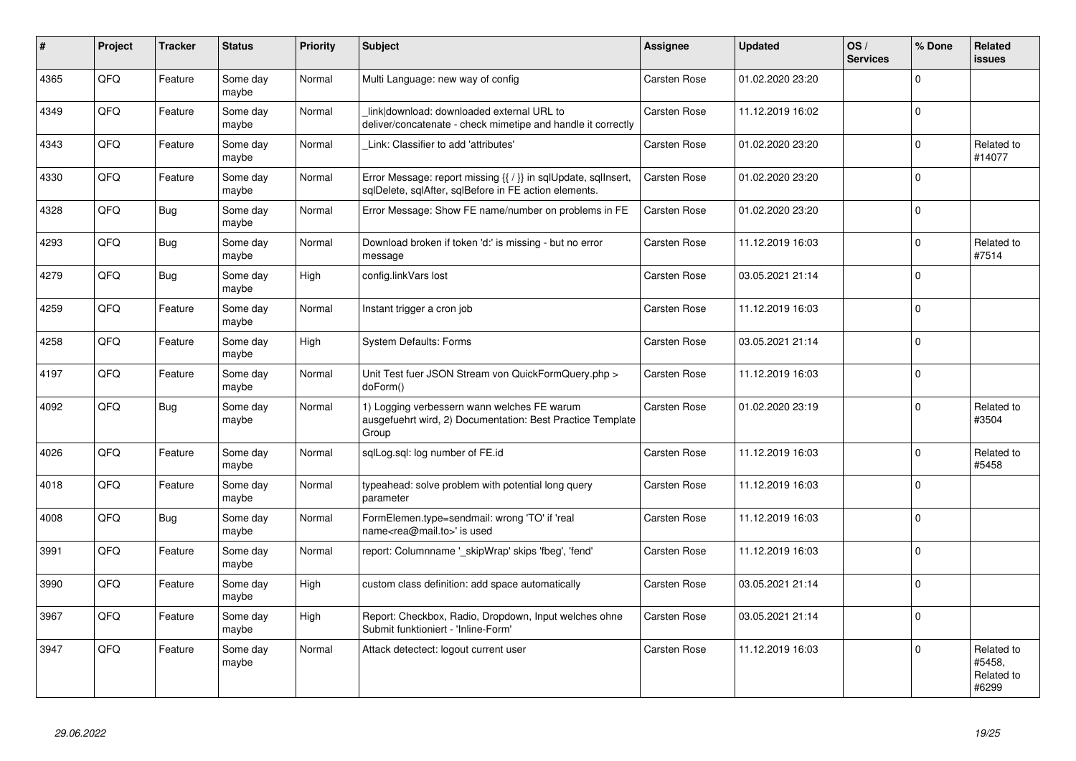| #    | Project | <b>Tracker</b> | <b>Status</b>     | <b>Priority</b> | <b>Subject</b>                                                                                                          | <b>Assignee</b>     | <b>Updated</b>   | OS/<br><b>Services</b> | % Done      | Related<br><b>issues</b>                    |
|------|---------|----------------|-------------------|-----------------|-------------------------------------------------------------------------------------------------------------------------|---------------------|------------------|------------------------|-------------|---------------------------------------------|
| 4365 | QFQ     | Feature        | Some day<br>maybe | Normal          | Multi Language: new way of config                                                                                       | <b>Carsten Rose</b> | 01.02.2020 23:20 |                        | $\Omega$    |                                             |
| 4349 | QFQ     | Feature        | Some day<br>maybe | Normal          | link download: downloaded external URL to<br>deliver/concatenate - check mimetipe and handle it correctly               | Carsten Rose        | 11.12.2019 16:02 |                        | $\mathbf 0$ |                                             |
| 4343 | QFQ     | Feature        | Some day<br>maybe | Normal          | Link: Classifier to add 'attributes'                                                                                    | Carsten Rose        | 01.02.2020 23:20 |                        | $\mathbf 0$ | Related to<br>#14077                        |
| 4330 | QFQ     | Feature        | Some day<br>maybe | Normal          | Error Message: report missing {{ / }} in sqlUpdate, sqlInsert,<br>sglDelete, sglAfter, sglBefore in FE action elements. | Carsten Rose        | 01.02.2020 23:20 |                        | 0           |                                             |
| 4328 | QFQ     | Bug            | Some day<br>maybe | Normal          | Error Message: Show FE name/number on problems in FE                                                                    | Carsten Rose        | 01.02.2020 23:20 |                        | $\Omega$    |                                             |
| 4293 | QFQ     | Bug            | Some day<br>maybe | Normal          | Download broken if token 'd:' is missing - but no error<br>message                                                      | Carsten Rose        | 11.12.2019 16:03 |                        | $\Omega$    | Related to<br>#7514                         |
| 4279 | QFQ     | Bug            | Some day<br>maybe | High            | config.linkVars lost                                                                                                    | <b>Carsten Rose</b> | 03.05.2021 21:14 |                        | $\Omega$    |                                             |
| 4259 | QFQ     | Feature        | Some day<br>maybe | Normal          | Instant trigger a cron job                                                                                              | Carsten Rose        | 11.12.2019 16:03 |                        | $\Omega$    |                                             |
| 4258 | QFQ     | Feature        | Some day<br>maybe | High            | <b>System Defaults: Forms</b>                                                                                           | <b>Carsten Rose</b> | 03.05.2021 21:14 |                        | $\mathbf 0$ |                                             |
| 4197 | QFQ     | Feature        | Some day<br>maybe | Normal          | Unit Test fuer JSON Stream von QuickFormQuery.php ><br>doForm()                                                         | <b>Carsten Rose</b> | 11.12.2019 16:03 |                        | $\Omega$    |                                             |
| 4092 | QFQ     | Bug            | Some day<br>maybe | Normal          | 1) Logging verbessern wann welches FE warum<br>ausgefuehrt wird, 2) Documentation: Best Practice Template<br>Group      | <b>Carsten Rose</b> | 01.02.2020 23:19 |                        | $\mathbf 0$ | Related to<br>#3504                         |
| 4026 | QFQ     | Feature        | Some day<br>maybe | Normal          | sqlLog.sql: log number of FE.id                                                                                         | Carsten Rose        | 11.12.2019 16:03 |                        | $\Omega$    | Related to<br>#5458                         |
| 4018 | QFQ     | Feature        | Some day<br>maybe | Normal          | typeahead: solve problem with potential long query<br>parameter                                                         | Carsten Rose        | 11.12.2019 16:03 |                        | $\Omega$    |                                             |
| 4008 | QFQ     | <b>Bug</b>     | Some day<br>maybe | Normal          | FormElemen.type=sendmail: wrong 'TO' if 'real<br>name <rea@mail.to>' is used</rea@mail.to>                              | Carsten Rose        | 11.12.2019 16:03 |                        | $\Omega$    |                                             |
| 3991 | QFQ     | Feature        | Some day<br>maybe | Normal          | report: Columnname '_skipWrap' skips 'fbeg', 'fend'                                                                     | <b>Carsten Rose</b> | 11.12.2019 16:03 |                        | $\Omega$    |                                             |
| 3990 | QFQ     | Feature        | Some day<br>maybe | High            | custom class definition: add space automatically                                                                        | Carsten Rose        | 03.05.2021 21:14 |                        | $\Omega$    |                                             |
| 3967 | QFQ     | Feature        | Some day<br>maybe | High            | Report: Checkbox, Radio, Dropdown, Input welches ohne<br>Submit funktioniert - 'Inline-Form'                            | Carsten Rose        | 03.05.2021 21:14 |                        | $\Omega$    |                                             |
| 3947 | QFQ     | Feature        | Some day<br>maybe | Normal          | Attack detectect: logout current user                                                                                   | Carsten Rose        | 11.12.2019 16:03 |                        | 0           | Related to<br>#5458.<br>Related to<br>#6299 |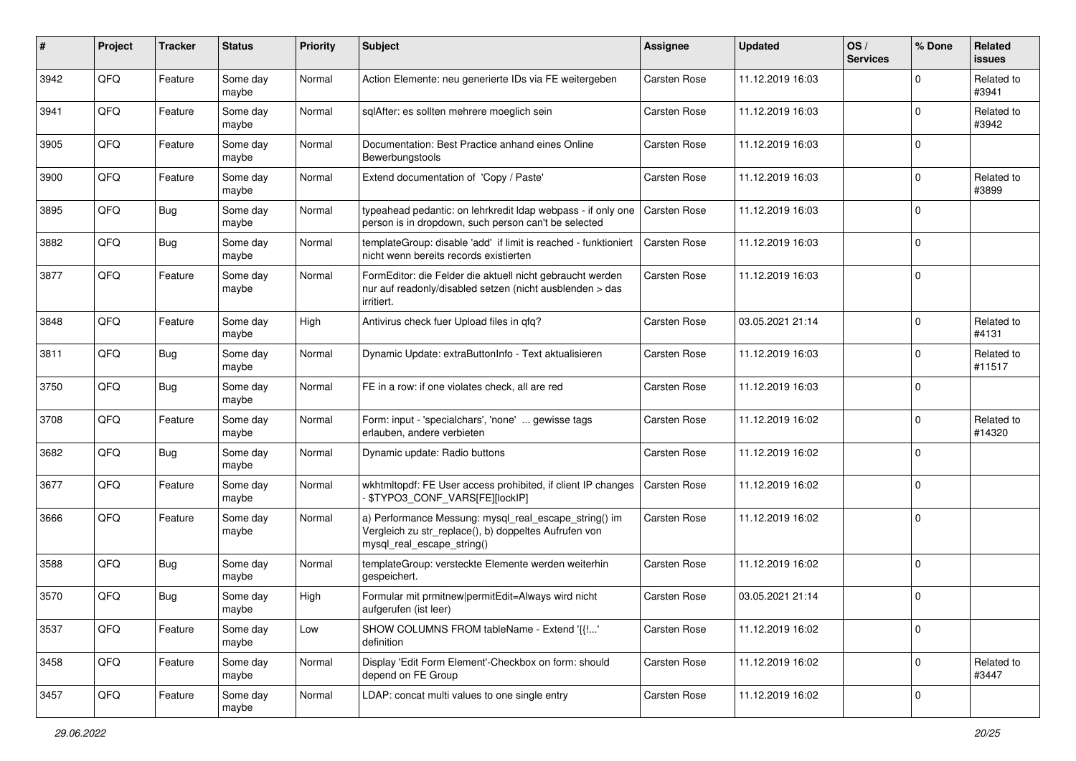| $\pmb{\#}$ | Project | <b>Tracker</b> | <b>Status</b>     | <b>Priority</b> | <b>Subject</b>                                                                                                                               | <b>Assignee</b>     | <b>Updated</b>   | OS/<br><b>Services</b> | % Done      | Related<br><b>issues</b> |
|------------|---------|----------------|-------------------|-----------------|----------------------------------------------------------------------------------------------------------------------------------------------|---------------------|------------------|------------------------|-------------|--------------------------|
| 3942       | QFQ     | Feature        | Some day<br>maybe | Normal          | Action Elemente: neu generierte IDs via FE weitergeben                                                                                       | <b>Carsten Rose</b> | 11.12.2019 16:03 |                        | $\Omega$    | Related to<br>#3941      |
| 3941       | QFQ     | Feature        | Some day<br>maybe | Normal          | sqlAfter: es sollten mehrere moeglich sein                                                                                                   | Carsten Rose        | 11.12.2019 16:03 |                        | $\Omega$    | Related to<br>#3942      |
| 3905       | QFQ     | Feature        | Some day<br>maybe | Normal          | Documentation: Best Practice anhand eines Online<br>Bewerbungstools                                                                          | Carsten Rose        | 11.12.2019 16:03 |                        | $\Omega$    |                          |
| 3900       | QFQ     | Feature        | Some day<br>maybe | Normal          | Extend documentation of 'Copy / Paste'                                                                                                       | Carsten Rose        | 11.12.2019 16:03 |                        | $\mathbf 0$ | Related to<br>#3899      |
| 3895       | QFQ     | Bug            | Some day<br>maybe | Normal          | typeahead pedantic: on lehrkredit Idap webpass - if only one<br>person is in dropdown, such person can't be selected                         | <b>Carsten Rose</b> | 11.12.2019 16:03 |                        | $\Omega$    |                          |
| 3882       | QFQ     | Bug            | Some day<br>maybe | Normal          | templateGroup: disable 'add' if limit is reached - funktioniert<br>nicht wenn bereits records existierten                                    | Carsten Rose        | 11.12.2019 16:03 |                        | $\mathbf 0$ |                          |
| 3877       | QFQ     | Feature        | Some day<br>maybe | Normal          | FormEditor: die Felder die aktuell nicht gebraucht werden<br>nur auf readonly/disabled setzen (nicht ausblenden > das<br>irritiert.          | Carsten Rose        | 11.12.2019 16:03 |                        | $\Omega$    |                          |
| 3848       | QFQ     | Feature        | Some day<br>maybe | High            | Antivirus check fuer Upload files in qfq?                                                                                                    | Carsten Rose        | 03.05.2021 21:14 |                        | $\Omega$    | Related to<br>#4131      |
| 3811       | QFQ     | <b>Bug</b>     | Some day<br>maybe | Normal          | Dynamic Update: extraButtonInfo - Text aktualisieren                                                                                         | Carsten Rose        | 11.12.2019 16:03 |                        | $\Omega$    | Related to<br>#11517     |
| 3750       | QFQ     | <b>Bug</b>     | Some day<br>maybe | Normal          | FE in a row: if one violates check, all are red                                                                                              | Carsten Rose        | 11.12.2019 16:03 |                        | $\Omega$    |                          |
| 3708       | QFQ     | Feature        | Some day<br>maybe | Normal          | Form: input - 'specialchars', 'none'  gewisse tags<br>erlauben, andere verbieten                                                             | Carsten Rose        | 11.12.2019 16:02 |                        | $\Omega$    | Related to<br>#14320     |
| 3682       | QFQ     | <b>Bug</b>     | Some day<br>maybe | Normal          | Dynamic update: Radio buttons                                                                                                                | Carsten Rose        | 11.12.2019 16:02 |                        | $\Omega$    |                          |
| 3677       | QFQ     | Feature        | Some day<br>maybe | Normal          | wkhtmltopdf: FE User access prohibited, if client IP changes<br>\$TYPO3_CONF_VARS[FE][lockIP]                                                | Carsten Rose        | 11.12.2019 16:02 |                        | $\Omega$    |                          |
| 3666       | QFQ     | Feature        | Some day<br>maybe | Normal          | a) Performance Messung: mysql_real_escape_string() im<br>Vergleich zu str_replace(), b) doppeltes Aufrufen von<br>mysql_real_escape_string() | Carsten Rose        | 11.12.2019 16:02 |                        | $\mathbf 0$ |                          |
| 3588       | QFQ     | <b>Bug</b>     | Some day<br>maybe | Normal          | templateGroup: versteckte Elemente werden weiterhin<br>gespeichert.                                                                          | <b>Carsten Rose</b> | 11.12.2019 16:02 |                        | $\Omega$    |                          |
| 3570       | QFQ     | <b>Bug</b>     | Some day<br>maybe | High            | Formular mit prmitnew permitEdit=Always wird nicht<br>aufgerufen (ist leer)                                                                  | Carsten Rose        | 03.05.2021 21:14 |                        | $\mathbf 0$ |                          |
| 3537       | QFQ     | Feature        | Some day<br>maybe | Low             | SHOW COLUMNS FROM tableName - Extend '{{!'<br>definition                                                                                     | Carsten Rose        | 11.12.2019 16:02 |                        | $\mathbf 0$ |                          |
| 3458       | QFQ     | Feature        | Some day<br>maybe | Normal          | Display 'Edit Form Element'-Checkbox on form: should<br>depend on FE Group                                                                   | Carsten Rose        | 11.12.2019 16:02 |                        | $\mathbf 0$ | Related to<br>#3447      |
| 3457       | QFQ     | Feature        | Some day<br>maybe | Normal          | LDAP: concat multi values to one single entry                                                                                                | Carsten Rose        | 11.12.2019 16:02 |                        | $\mathbf 0$ |                          |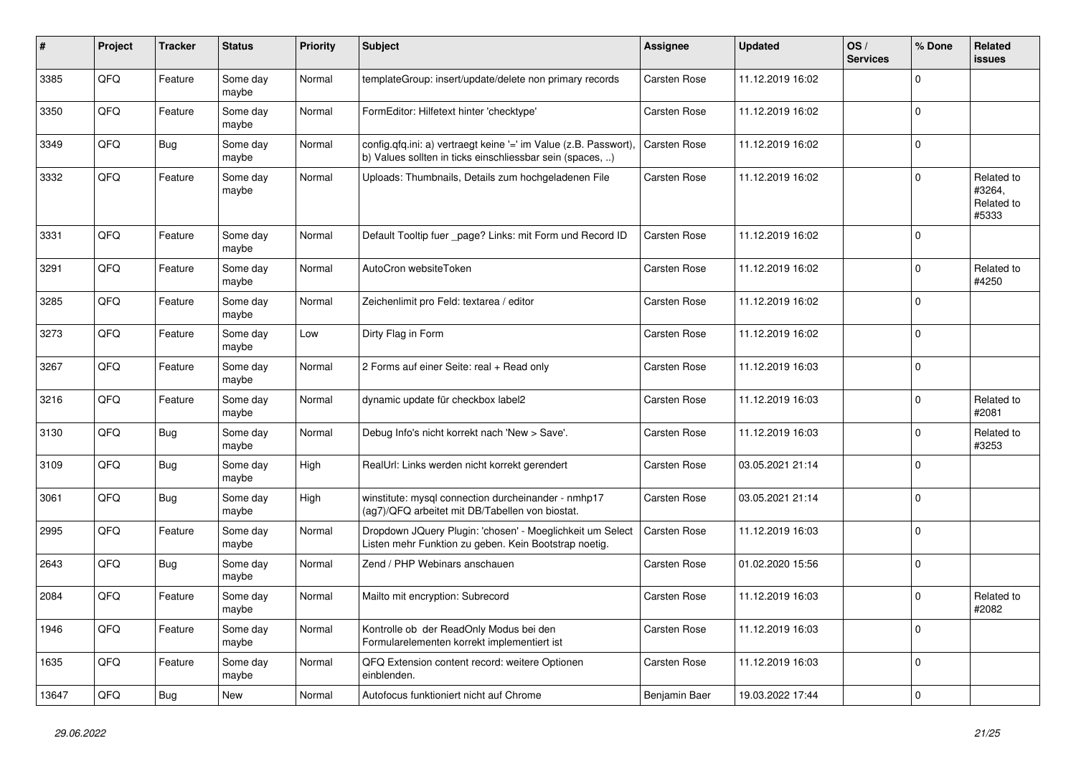| ∦     | Project | <b>Tracker</b> | <b>Status</b>     | <b>Priority</b> | <b>Subject</b>                                                                                                                | Assignee            | <b>Updated</b>   | OS/<br><b>Services</b> | % Done      | Related<br><b>issues</b>                    |
|-------|---------|----------------|-------------------|-----------------|-------------------------------------------------------------------------------------------------------------------------------|---------------------|------------------|------------------------|-------------|---------------------------------------------|
| 3385  | QFQ     | Feature        | Some day<br>maybe | Normal          | templateGroup: insert/update/delete non primary records                                                                       | Carsten Rose        | 11.12.2019 16:02 |                        | $\Omega$    |                                             |
| 3350  | QFQ     | Feature        | Some day<br>maybe | Normal          | FormEditor: Hilfetext hinter 'checktype'                                                                                      | Carsten Rose        | 11.12.2019 16:02 |                        | $\Omega$    |                                             |
| 3349  | QFQ     | Bug            | Some day<br>maybe | Normal          | config.qfq.ini: a) vertraegt keine '=' im Value (z.B. Passwort),<br>b) Values sollten in ticks einschliessbar sein (spaces, ) | Carsten Rose        | 11.12.2019 16:02 |                        | $\Omega$    |                                             |
| 3332  | QFQ     | Feature        | Some day<br>maybe | Normal          | Uploads: Thumbnails, Details zum hochgeladenen File                                                                           | Carsten Rose        | 11.12.2019 16:02 |                        | $\Omega$    | Related to<br>#3264.<br>Related to<br>#5333 |
| 3331  | QFQ     | Feature        | Some day<br>maybe | Normal          | Default Tooltip fuer _page? Links: mit Form und Record ID                                                                     | Carsten Rose        | 11.12.2019 16:02 |                        | $\Omega$    |                                             |
| 3291  | QFQ     | Feature        | Some day<br>maybe | Normal          | AutoCron websiteToken                                                                                                         | Carsten Rose        | 11.12.2019 16:02 |                        | $\Omega$    | Related to<br>#4250                         |
| 3285  | QFQ     | Feature        | Some day<br>maybe | Normal          | Zeichenlimit pro Feld: textarea / editor                                                                                      | Carsten Rose        | 11.12.2019 16:02 |                        | $\Omega$    |                                             |
| 3273  | QFQ     | Feature        | Some day<br>maybe | Low             | Dirty Flag in Form                                                                                                            | Carsten Rose        | 11.12.2019 16:02 |                        | $\Omega$    |                                             |
| 3267  | QFQ     | Feature        | Some day<br>maybe | Normal          | 2 Forms auf einer Seite: real + Read only                                                                                     | Carsten Rose        | 11.12.2019 16:03 |                        | $\Omega$    |                                             |
| 3216  | QFQ     | Feature        | Some day<br>maybe | Normal          | dynamic update für checkbox label2                                                                                            | Carsten Rose        | 11.12.2019 16:03 |                        | $\Omega$    | Related to<br>#2081                         |
| 3130  | QFQ     | <b>Bug</b>     | Some day<br>maybe | Normal          | Debug Info's nicht korrekt nach 'New > Save'.                                                                                 | Carsten Rose        | 11.12.2019 16:03 |                        | $\mathbf 0$ | Related to<br>#3253                         |
| 3109  | QFQ     | Bug            | Some day<br>maybe | High            | RealUrl: Links werden nicht korrekt gerendert                                                                                 | Carsten Rose        | 03.05.2021 21:14 |                        | $\Omega$    |                                             |
| 3061  | QFQ     | Bug            | Some day<br>maybe | High            | winstitute: mysql connection durcheinander - nmhp17<br>(ag7)/QFQ arbeitet mit DB/Tabellen von biostat.                        | <b>Carsten Rose</b> | 03.05.2021 21:14 |                        | $\Omega$    |                                             |
| 2995  | QFQ     | Feature        | Some day<br>maybe | Normal          | Dropdown JQuery Plugin: 'chosen' - Moeglichkeit um Select<br>Listen mehr Funktion zu geben. Kein Bootstrap noetig.            | Carsten Rose        | 11.12.2019 16:03 |                        | $\mathbf 0$ |                                             |
| 2643  | QFQ     | Bug            | Some day<br>maybe | Normal          | Zend / PHP Webinars anschauen                                                                                                 | Carsten Rose        | 01.02.2020 15:56 |                        | $\Omega$    |                                             |
| 2084  | QFQ     | Feature        | Some day<br>maybe | Normal          | Mailto mit encryption: Subrecord                                                                                              | Carsten Rose        | 11.12.2019 16:03 |                        | $\Omega$    | Related to<br>#2082                         |
| 1946  | QFQ     | Feature        | Some day<br>maybe | Normal          | Kontrolle ob der ReadOnly Modus bei den<br>Formularelementen korrekt implementiert ist                                        | Carsten Rose        | 11.12.2019 16:03 |                        | 0           |                                             |
| 1635  | QFQ     | Feature        | Some day<br>maybe | Normal          | QFQ Extension content record: weitere Optionen<br>einblenden.                                                                 | Carsten Rose        | 11.12.2019 16:03 |                        | $\Omega$    |                                             |
| 13647 | QFQ     | Bug            | <b>New</b>        | Normal          | Autofocus funktioniert nicht auf Chrome                                                                                       | Benjamin Baer       | 19.03.2022 17:44 |                        | $\Omega$    |                                             |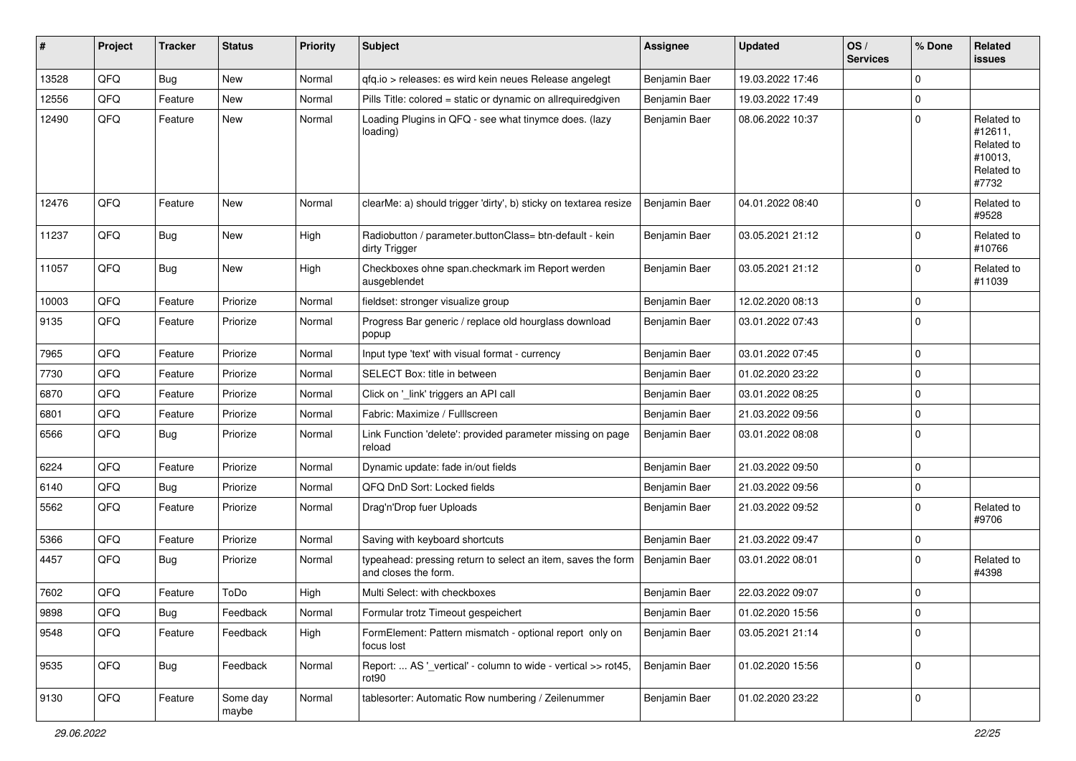| $\sharp$ | Project | <b>Tracker</b> | <b>Status</b>     | <b>Priority</b> | <b>Subject</b>                                                                       | <b>Assignee</b> | <b>Updated</b>   | OS/<br><b>Services</b> | % Done      | Related<br><b>issues</b>                                              |
|----------|---------|----------------|-------------------|-----------------|--------------------------------------------------------------------------------------|-----------------|------------------|------------------------|-------------|-----------------------------------------------------------------------|
| 13528    | QFQ     | Bug            | <b>New</b>        | Normal          | gfg.io > releases: es wird kein neues Release angelegt                               | Benjamin Baer   | 19.03.2022 17:46 |                        | $\Omega$    |                                                                       |
| 12556    | QFQ     | Feature        | New               | Normal          | Pills Title: colored = static or dynamic on allrequiredgiven                         | Benjamin Baer   | 19.03.2022 17:49 |                        | $\Omega$    |                                                                       |
| 12490    | QFQ     | Feature        | New               | Normal          | Loading Plugins in QFQ - see what tinymce does. (lazy<br>loading)                    | Benjamin Baer   | 08.06.2022 10:37 |                        | $\Omega$    | Related to<br>#12611,<br>Related to<br>#10013,<br>Related to<br>#7732 |
| 12476    | QFQ     | Feature        | New               | Normal          | clearMe: a) should trigger 'dirty', b) sticky on textarea resize                     | Benjamin Baer   | 04.01.2022 08:40 |                        | $\Omega$    | Related to<br>#9528                                                   |
| 11237    | QFQ     | <b>Bug</b>     | <b>New</b>        | High            | Radiobutton / parameter.buttonClass= btn-default - kein<br>dirty Trigger             | Benjamin Baer   | 03.05.2021 21:12 |                        | $\Omega$    | Related to<br>#10766                                                  |
| 11057    | QFQ     | <b>Bug</b>     | New               | High            | Checkboxes ohne span.checkmark im Report werden<br>ausgeblendet                      | Benjamin Baer   | 03.05.2021 21:12 |                        | 0           | Related to<br>#11039                                                  |
| 10003    | QFQ     | Feature        | Priorize          | Normal          | fieldset: stronger visualize group                                                   | Benjamin Baer   | 12.02.2020 08:13 |                        | $\Omega$    |                                                                       |
| 9135     | QFQ     | Feature        | Priorize          | Normal          | Progress Bar generic / replace old hourglass download<br>popup                       | Benjamin Baer   | 03.01.2022 07:43 |                        | $\Omega$    |                                                                       |
| 7965     | QFQ     | Feature        | Priorize          | Normal          | Input type 'text' with visual format - currency                                      | Benjamin Baer   | 03.01.2022 07:45 |                        | $\Omega$    |                                                                       |
| 7730     | QFQ     | Feature        | Priorize          | Normal          | SELECT Box: title in between                                                         | Benjamin Baer   | 01.02.2020 23:22 |                        | $\Omega$    |                                                                       |
| 6870     | QFQ     | Feature        | Priorize          | Normal          | Click on '_link' triggers an API call                                                | Benjamin Baer   | 03.01.2022 08:25 |                        | $\Omega$    |                                                                       |
| 6801     | QFQ     | Feature        | Priorize          | Normal          | Fabric: Maximize / FullIscreen                                                       | Benjamin Baer   | 21.03.2022 09:56 |                        | $\Omega$    |                                                                       |
| 6566     | QFQ     | <b>Bug</b>     | Priorize          | Normal          | Link Function 'delete': provided parameter missing on page<br>reload                 | Benjamin Baer   | 03.01.2022 08:08 |                        | $\Omega$    |                                                                       |
| 6224     | QFQ     | Feature        | Priorize          | Normal          | Dynamic update: fade in/out fields                                                   | Benjamin Baer   | 21.03.2022 09:50 |                        | $\Omega$    |                                                                       |
| 6140     | QFQ     | <b>Bug</b>     | Priorize          | Normal          | QFQ DnD Sort: Locked fields                                                          | Benjamin Baer   | 21.03.2022 09:56 |                        | $\Omega$    |                                                                       |
| 5562     | QFQ     | Feature        | Priorize          | Normal          | Drag'n'Drop fuer Uploads                                                             | Benjamin Baer   | 21.03.2022 09:52 |                        | $\Omega$    | Related to<br>#9706                                                   |
| 5366     | QFQ     | Feature        | Priorize          | Normal          | Saving with keyboard shortcuts                                                       | Benjamin Baer   | 21.03.2022 09:47 |                        | $\mathbf 0$ |                                                                       |
| 4457     | QFQ     | <b>Bug</b>     | Priorize          | Normal          | typeahead: pressing return to select an item, saves the form<br>and closes the form. | Benjamin Baer   | 03.01.2022 08:01 |                        | $\Omega$    | Related to<br>#4398                                                   |
| 7602     | QFQ     | Feature        | ToDo              | High            | Multi Select: with checkboxes                                                        | Benjamin Baer   | 22.03.2022 09:07 |                        | $\Omega$    |                                                                       |
| 9898     | QFQ     | Bug            | Feedback          | Normal          | Formular trotz Timeout gespeichert                                                   | Benjamin Baer   | 01.02.2020 15:56 |                        | 0           |                                                                       |
| 9548     | QFQ     | Feature        | Feedback          | High            | FormElement: Pattern mismatch - optional report only on<br>focus lost                | Benjamin Baer   | 03.05.2021 21:14 |                        | $\mathbf 0$ |                                                                       |
| 9535     | QFQ     | <b>Bug</b>     | Feedback          | Normal          | Report:  AS ' vertical' - column to wide - vertical >> rot45,<br>rot <sub>90</sub>   | Benjamin Baer   | 01.02.2020 15:56 |                        | 0           |                                                                       |
| 9130     | QFQ     | Feature        | Some day<br>maybe | Normal          | tablesorter: Automatic Row numbering / Zeilenummer                                   | Benjamin Baer   | 01.02.2020 23:22 |                        | 0           |                                                                       |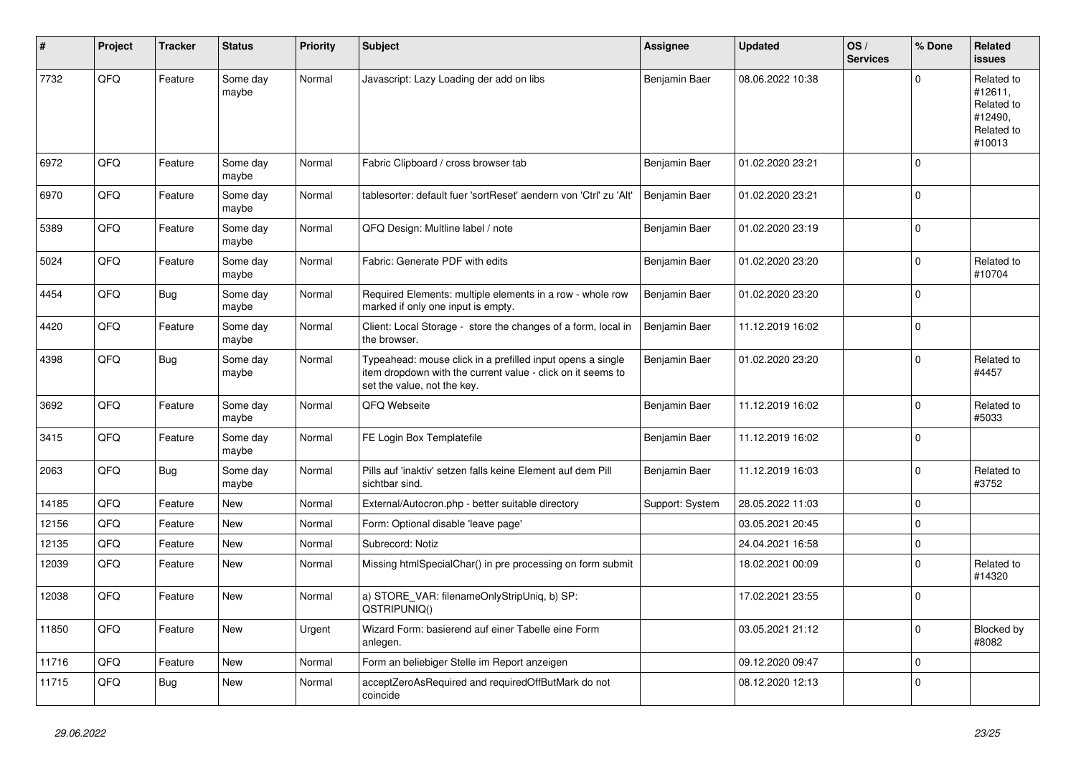| #     | Project | <b>Tracker</b> | <b>Status</b>     | <b>Priority</b> | <b>Subject</b>                                                                                                                                           | <b>Assignee</b> | <b>Updated</b>   | OS/<br><b>Services</b> | % Done      | Related<br><b>issues</b>                                               |
|-------|---------|----------------|-------------------|-----------------|----------------------------------------------------------------------------------------------------------------------------------------------------------|-----------------|------------------|------------------------|-------------|------------------------------------------------------------------------|
| 7732  | QFQ     | Feature        | Some day<br>maybe | Normal          | Javascript: Lazy Loading der add on libs                                                                                                                 | Benjamin Baer   | 08.06.2022 10:38 |                        | $\Omega$    | Related to<br>#12611,<br>Related to<br>#12490,<br>Related to<br>#10013 |
| 6972  | QFQ     | Feature        | Some day<br>maybe | Normal          | Fabric Clipboard / cross browser tab                                                                                                                     | Benjamin Baer   | 01.02.2020 23:21 |                        | $\Omega$    |                                                                        |
| 6970  | QFQ     | Feature        | Some day<br>maybe | Normal          | tablesorter: default fuer 'sortReset' aendern von 'Ctrl' zu 'Alt'                                                                                        | Benjamin Baer   | 01.02.2020 23:21 |                        | $\Omega$    |                                                                        |
| 5389  | QFQ     | Feature        | Some day<br>maybe | Normal          | QFQ Design: Multline label / note                                                                                                                        | Benjamin Baer   | 01.02.2020 23:19 |                        | $\Omega$    |                                                                        |
| 5024  | QFQ     | Feature        | Some day<br>maybe | Normal          | Fabric: Generate PDF with edits                                                                                                                          | Benjamin Baer   | 01.02.2020 23:20 |                        | $\mathbf 0$ | Related to<br>#10704                                                   |
| 4454  | QFQ     | Bug            | Some day<br>maybe | Normal          | Required Elements: multiple elements in a row - whole row<br>marked if only one input is empty.                                                          | Benjamin Baer   | 01.02.2020 23:20 |                        | $\Omega$    |                                                                        |
| 4420  | QFQ     | Feature        | Some day<br>maybe | Normal          | Client: Local Storage - store the changes of a form, local in<br>the browser.                                                                            | Benjamin Baer   | 11.12.2019 16:02 |                        | $\Omega$    |                                                                        |
| 4398  | QFQ     | Bug            | Some day<br>maybe | Normal          | Typeahead: mouse click in a prefilled input opens a single<br>item dropdown with the current value - click on it seems to<br>set the value, not the key. | Benjamin Baer   | 01.02.2020 23:20 |                        | $\Omega$    | Related to<br>#4457                                                    |
| 3692  | QFQ     | Feature        | Some day<br>maybe | Normal          | QFQ Webseite                                                                                                                                             | Benjamin Baer   | 11.12.2019 16:02 |                        | $\Omega$    | Related to<br>#5033                                                    |
| 3415  | QFQ     | Feature        | Some day<br>maybe | Normal          | FE Login Box Templatefile                                                                                                                                | Benjamin Baer   | 11.12.2019 16:02 |                        | $\Omega$    |                                                                        |
| 2063  | QFQ     | Bug            | Some day<br>maybe | Normal          | Pills auf 'inaktiv' setzen falls keine Element auf dem Pill<br>sichtbar sind.                                                                            | Benjamin Baer   | 11.12.2019 16:03 |                        | $\Omega$    | Related to<br>#3752                                                    |
| 14185 | QFQ     | Feature        | New               | Normal          | External/Autocron.php - better suitable directory                                                                                                        | Support: System | 28.05.2022 11:03 |                        | $\Omega$    |                                                                        |
| 12156 | QFQ     | Feature        | <b>New</b>        | Normal          | Form: Optional disable 'leave page'                                                                                                                      |                 | 03.05.2021 20:45 |                        | $\Omega$    |                                                                        |
| 12135 | QFQ     | Feature        | <b>New</b>        | Normal          | Subrecord: Notiz                                                                                                                                         |                 | 24.04.2021 16:58 |                        | $\mathbf 0$ |                                                                        |
| 12039 | QFQ     | Feature        | New               | Normal          | Missing htmlSpecialChar() in pre processing on form submit                                                                                               |                 | 18.02.2021 00:09 |                        | $\Omega$    | Related to<br>#14320                                                   |
| 12038 | QFQ     | Feature        | <b>New</b>        | Normal          | a) STORE_VAR: filenameOnlyStripUniq, b) SP:<br>QSTRIPUNIQ()                                                                                              |                 | 17.02.2021 23:55 |                        | $\Omega$    |                                                                        |
| 11850 | QFQ     | Feature        | New               | Urgent          | Wizard Form: basierend auf einer Tabelle eine Form<br>anlegen.                                                                                           |                 | 03.05.2021 21:12 |                        | 0           | Blocked by<br>#8082                                                    |
| 11716 | QFQ     | Feature        | New               | Normal          | Form an beliebiger Stelle im Report anzeigen                                                                                                             |                 | 09.12.2020 09:47 |                        | 0           |                                                                        |
| 11715 | QFQ     | Bug            | New               | Normal          | acceptZeroAsRequired and requiredOffButMark do not<br>coincide                                                                                           |                 | 08.12.2020 12:13 |                        | 0           |                                                                        |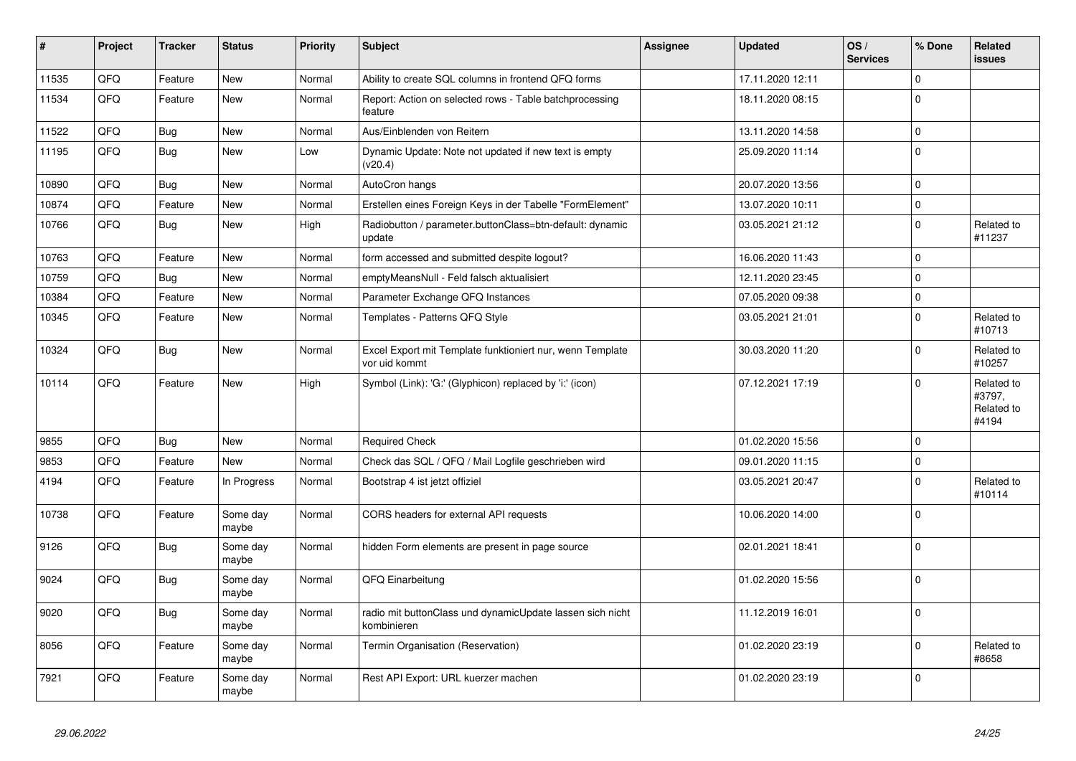| $\vert$ # | Project | <b>Tracker</b> | <b>Status</b>     | <b>Priority</b> | <b>Subject</b>                                                             | <b>Assignee</b> | <b>Updated</b>   | OS/<br><b>Services</b> | % Done      | Related<br>issues                           |
|-----------|---------|----------------|-------------------|-----------------|----------------------------------------------------------------------------|-----------------|------------------|------------------------|-------------|---------------------------------------------|
| 11535     | QFQ     | Feature        | <b>New</b>        | Normal          | Ability to create SQL columns in frontend QFQ forms                        |                 | 17.11.2020 12:11 |                        | $\Omega$    |                                             |
| 11534     | QFQ     | Feature        | <b>New</b>        | Normal          | Report: Action on selected rows - Table batchprocessing<br>feature         |                 | 18.11.2020 08:15 |                        | $\Omega$    |                                             |
| 11522     | QFQ     | <b>Bug</b>     | <b>New</b>        | Normal          | Aus/Einblenden von Reitern                                                 |                 | 13.11.2020 14:58 |                        | $\Omega$    |                                             |
| 11195     | QFQ     | <b>Bug</b>     | <b>New</b>        | Low             | Dynamic Update: Note not updated if new text is empty<br>(v20.4)           |                 | 25.09.2020 11:14 |                        | $\Omega$    |                                             |
| 10890     | QFQ     | Bug            | <b>New</b>        | Normal          | AutoCron hangs                                                             |                 | 20.07.2020 13:56 |                        | $\Omega$    |                                             |
| 10874     | QFQ     | Feature        | <b>New</b>        | Normal          | Erstellen eines Foreign Keys in der Tabelle "FormElement"                  |                 | 13.07.2020 10:11 |                        | 0           |                                             |
| 10766     | QFQ     | <b>Bug</b>     | <b>New</b>        | High            | Radiobutton / parameter.buttonClass=btn-default: dynamic<br>update         |                 | 03.05.2021 21:12 |                        | 0           | Related to<br>#11237                        |
| 10763     | QFQ     | Feature        | <b>New</b>        | Normal          | form accessed and submitted despite logout?                                |                 | 16.06.2020 11:43 |                        | $\mathbf 0$ |                                             |
| 10759     | QFQ     | <b>Bug</b>     | <b>New</b>        | Normal          | emptyMeansNull - Feld falsch aktualisiert                                  |                 | 12.11.2020 23:45 |                        | $\mathbf 0$ |                                             |
| 10384     | QFQ     | Feature        | <b>New</b>        | Normal          | Parameter Exchange QFQ Instances                                           |                 | 07.05.2020 09:38 |                        | 0           |                                             |
| 10345     | QFQ     | Feature        | <b>New</b>        | Normal          | Templates - Patterns QFQ Style                                             |                 | 03.05.2021 21:01 |                        | $\Omega$    | Related to<br>#10713                        |
| 10324     | QFQ     | <b>Bug</b>     | <b>New</b>        | Normal          | Excel Export mit Template funktioniert nur, wenn Template<br>vor uid kommt |                 | 30.03.2020 11:20 |                        | $\mathbf 0$ | Related to<br>#10257                        |
| 10114     | QFQ     | Feature        | New               | High            | Symbol (Link): 'G:' (Glyphicon) replaced by 'i:' (icon)                    |                 | 07.12.2021 17:19 |                        | $\Omega$    | Related to<br>#3797,<br>Related to<br>#4194 |
| 9855      | QFQ     | Bug            | <b>New</b>        | Normal          | <b>Required Check</b>                                                      |                 | 01.02.2020 15:56 |                        | $\Omega$    |                                             |
| 9853      | QFQ     | Feature        | <b>New</b>        | Normal          | Check das SQL / QFQ / Mail Logfile geschrieben wird                        |                 | 09.01.2020 11:15 |                        | $\Omega$    |                                             |
| 4194      | QFQ     | Feature        | In Progress       | Normal          | Bootstrap 4 ist jetzt offiziel                                             |                 | 03.05.2021 20:47 |                        | $\Omega$    | Related to<br>#10114                        |
| 10738     | QFQ     | Feature        | Some day<br>maybe | Normal          | CORS headers for external API requests                                     |                 | 10.06.2020 14:00 |                        | $\Omega$    |                                             |
| 9126      | QFQ     | <b>Bug</b>     | Some day<br>maybe | Normal          | hidden Form elements are present in page source                            |                 | 02.01.2021 18:41 |                        | 0           |                                             |
| 9024      | QFQ     | <b>Bug</b>     | Some day<br>maybe | Normal          | QFQ Einarbeitung                                                           |                 | 01.02.2020 15:56 |                        | $\Omega$    |                                             |
| 9020      | QFQ     | <b>Bug</b>     | Some day<br>maybe | Normal          | radio mit buttonClass und dynamicUpdate lassen sich nicht<br>kombinieren   |                 | 11.12.2019 16:01 |                        | $\Omega$    |                                             |
| 8056      | QFQ     | Feature        | Some day<br>maybe | Normal          | Termin Organisation (Reservation)                                          |                 | 01.02.2020 23:19 |                        | $\pmb{0}$   | Related to<br>#8658                         |
| 7921      | QFQ     | Feature        | Some day<br>maybe | Normal          | Rest API Export: URL kuerzer machen                                        |                 | 01.02.2020 23:19 |                        | $\Omega$    |                                             |